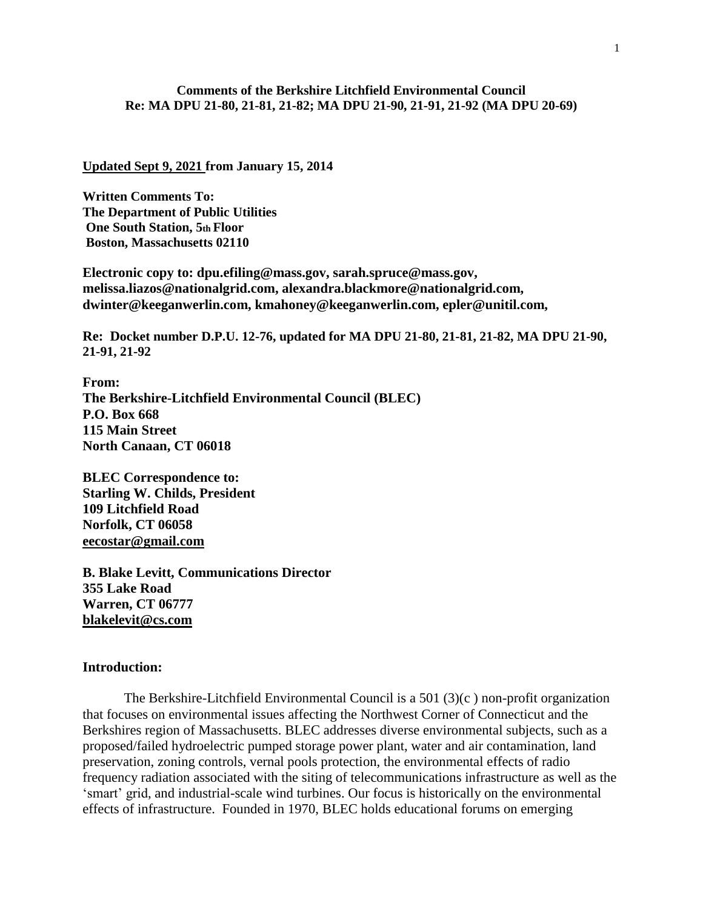# **Comments of the Berkshire Litchfield Environmental Council Re: MA DPU 21-80, 21-81, 21-82; MA DPU 21-90, 21-91, 21-92 (MA DPU 20-69)**

#### **Updated Sept 9, 2021 from January 15, 2014**

**Written Comments To: The Department of Public Utilities One South Station, 5th Floor Boston, Massachusetts 02110**

**Electronic copy to: dpu.efiling@mass.gov, sarah.spruce@mass.gov, melissa.liazos@nationalgrid.com, alexandra.blackmore@nationalgrid.com, dwinter@keeganwerlin.com, kmahoney@keeganwerlin.com, epler@unitil.com,**

**Re: Docket number D.P.U. 12-76, updated for MA DPU 21-80, 21-81, 21-82, MA DPU 21-90, 21-91, 21-92**

**From: The Berkshire-Litchfield Environmental Council (BLEC) P.O. Box 668 115 Main Street North Canaan, CT 06018**

**BLEC Correspondence to: Starling W. Childs, President 109 Litchfield Road Norfolk, CT 06058 [eecostar@gmail.com](mailto:eecostar@gmail.com)**

**B. Blake Levitt, Communications Director 355 Lake Road Warren, CT 06777 [blakelevit@cs.com](mailto:blakelevit@cs.com)**

#### **Introduction:**

The Berkshire-Litchfield Environmental Council is a  $501 (3)(c)$  non-profit organization that focuses on environmental issues affecting the Northwest Corner of Connecticut and the Berkshires region of Massachusetts. BLEC addresses diverse environmental subjects, such as a proposed/failed hydroelectric pumped storage power plant, water and air contamination, land preservation, zoning controls, vernal pools protection, the environmental effects of radio frequency radiation associated with the siting of telecommunications infrastructure as well as the 'smart' grid, and industrial-scale wind turbines. Our focus is historically on the environmental effects of infrastructure. Founded in 1970, BLEC holds educational forums on emerging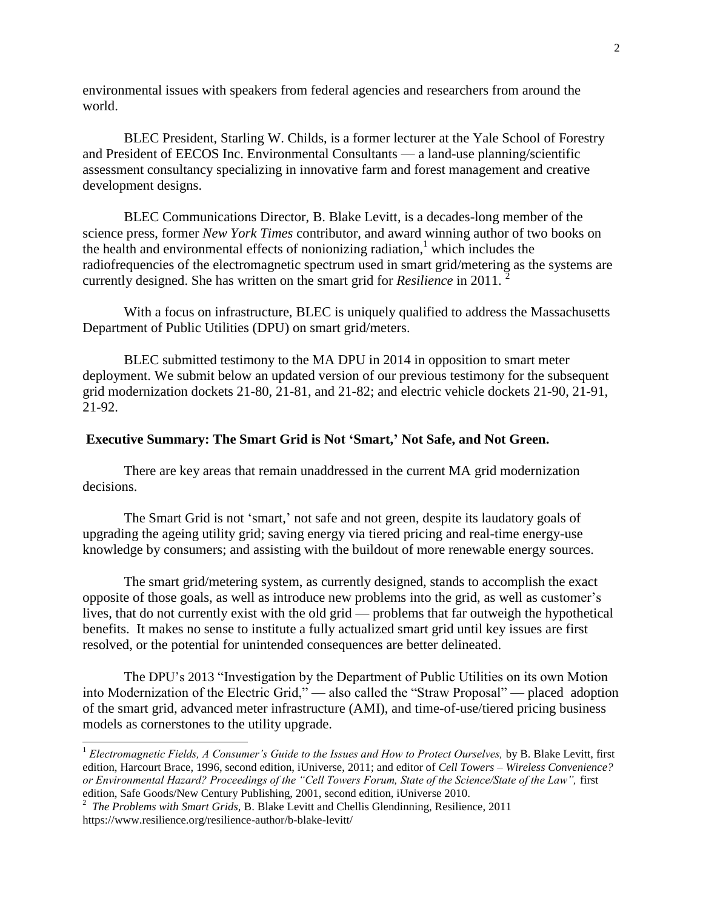environmental issues with speakers from federal agencies and researchers from around the world.

BLEC President, Starling W. Childs, is a former lecturer at the Yale School of Forestry and President of EECOS Inc. Environmental Consultants — a land-use planning/scientific assessment consultancy specializing in innovative farm and forest management and creative development designs.

BLEC Communications Director, B. Blake Levitt, is a decades-long member of the science press, former *New York Times* contributor, and award winning author of two books on the health and environmental effects of nonionizing radiation, $<sup>1</sup>$  which includes the</sup> radiofrequencies of the electromagnetic spectrum used in smart grid/metering as the systems are currently designed. She has written on the smart grid for *Resilience* in 2011.

With a focus on infrastructure, BLEC is uniquely qualified to address the Massachusetts Department of Public Utilities (DPU) on smart grid/meters.

BLEC submitted testimony to the MA DPU in 2014 in opposition to smart meter deployment. We submit below an updated version of our previous testimony for the subsequent grid modernization dockets 21-80, 21-81, and 21-82; and electric vehicle dockets 21-90, 21-91, 21-92.

### **Executive Summary: The Smart Grid is Not 'Smart,' Not Safe, and Not Green.**

There are key areas that remain unaddressed in the current MA grid modernization decisions.

The Smart Grid is not 'smart,' not safe and not green, despite its laudatory goals of upgrading the ageing utility grid; saving energy via tiered pricing and real-time energy-use knowledge by consumers; and assisting with the buildout of more renewable energy sources.

The smart grid/metering system, as currently designed, stands to accomplish the exact opposite of those goals, as well as introduce new problems into the grid, as well as customer's lives, that do not currently exist with the old grid — problems that far outweigh the hypothetical benefits. It makes no sense to institute a fully actualized smart grid until key issues are first resolved, or the potential for unintended consequences are better delineated.

The DPU's 2013 "Investigation by the Department of Public Utilities on its own Motion into Modernization of the Electric Grid," — also called the "Straw Proposal" — placed adoption of the smart grid, advanced meter infrastructure (AMI), and time-of-use/tiered pricing business models as cornerstones to the utility upgrade.

<sup>1</sup> *Electromagnetic Fields, A Consumer's Guide to the Issues and How to Protect Ourselves,* by B. Blake Levitt, first edition, Harcourt Brace, 1996, second edition, iUniverse, 2011; and editor of *Cell Towers – Wireless Convenience? or Environmental Hazard? Proceedings of the "Cell Towers Forum, State of the Science/State of the Law",* first edition, Safe Goods/New Century Publishing, 2001, second edition, iUniverse 2010. 2 *The Problems with Smart Grids,* B. Blake Levitt and Chellis Glendinning, Resilience, 2011

https://www.resilience.org/resilience-author/b-blake-levitt/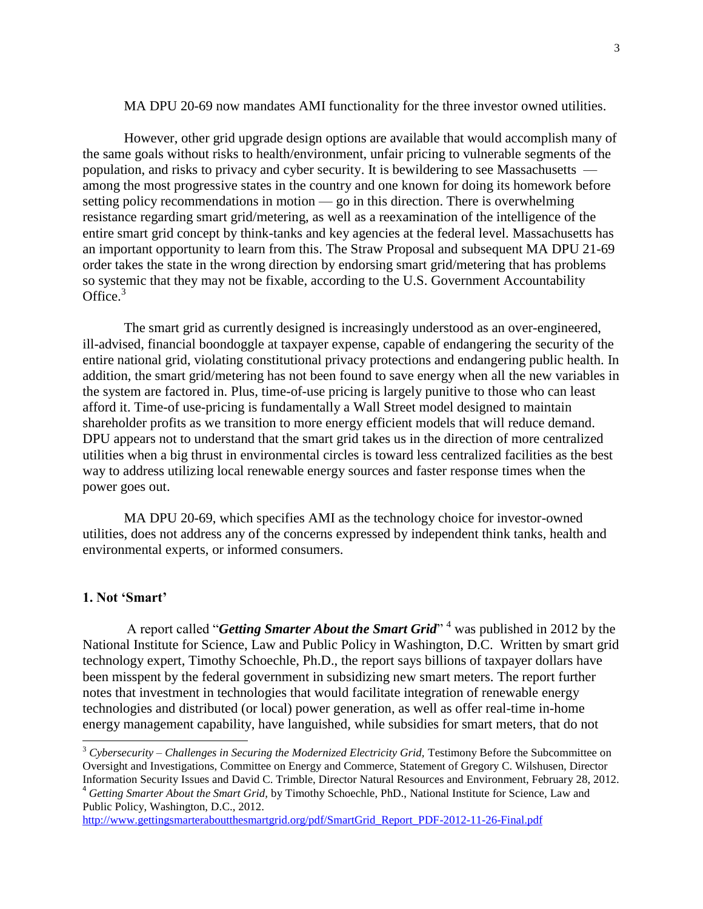MA DPU 20-69 now mandates AMI functionality for the three investor owned utilities.

However, other grid upgrade design options are available that would accomplish many of the same goals without risks to health/environment, unfair pricing to vulnerable segments of the population, and risks to privacy and cyber security. It is bewildering to see Massachusetts among the most progressive states in the country and one known for doing its homework before setting policy recommendations in motion — go in this direction. There is overwhelming resistance regarding smart grid/metering, as well as a reexamination of the intelligence of the entire smart grid concept by think-tanks and key agencies at the federal level. Massachusetts has an important opportunity to learn from this. The Straw Proposal and subsequent MA DPU 21-69 order takes the state in the wrong direction by endorsing smart grid/metering that has problems so systemic that they may not be fixable, according to the U.S. Government Accountability Office. $3$ 

The smart grid as currently designed is increasingly understood as an over-engineered, ill-advised, financial boondoggle at taxpayer expense, capable of endangering the security of the entire national grid, violating constitutional privacy protections and endangering public health. In addition, the smart grid/metering has not been found to save energy when all the new variables in the system are factored in. Plus, time-of-use pricing is largely punitive to those who can least afford it. Time-of use-pricing is fundamentally a Wall Street model designed to maintain shareholder profits as we transition to more energy efficient models that will reduce demand. DPU appears not to understand that the smart grid takes us in the direction of more centralized utilities when a big thrust in environmental circles is toward less centralized facilities as the best way to address utilizing local renewable energy sources and faster response times when the power goes out.

MA DPU 20-69, which specifies AMI as the technology choice for investor-owned utilities, does not address any of the concerns expressed by independent think tanks, health and environmental experts, or informed consumers.

### **1. Not 'Smart'**

l

A report called "*Getting Smarter About the Smart Grid*"<sup>4</sup> was published in 2012 by the National Institute for Science, Law and Public Policy in Washington, D.C. Written by smart grid technology expert, Timothy Schoechle, Ph.D., the report says billions of taxpayer dollars have been misspent by the federal government in subsidizing new smart meters. The report further notes that investment in technologies that would facilitate integration of renewable energy technologies and distributed (or local) power generation, as well as offer real-time in-home energy management capability, have languished, while subsidies for smart meters, that do not

<sup>3</sup> *Cybersecurity – Challenges in Securing the Modernized Electricity Grid,* Testimony Before the Subcommittee on Oversight and Investigations, Committee on Energy and Commerce, Statement of Gregory C. Wilshusen, Director Information Security Issues and David C. Trimble, Director Natural Resources and Environment, February 28, 2012. <sup>4</sup> *Getting Smarter About the Smart Grid,* by Timothy Schoechle, PhD., National Institute for Science, Law and Public Policy, Washington, D.C., 2012.

[http://www.gettingsmarteraboutthesmartgrid.org/pdf/SmartGrid\\_Report\\_PDF-2012-11-26-Final.pdf](http://www.gettingsmarteraboutthesmartgrid.org/pdf/SmartGrid_Report_PDF-2012-11-26-Final.pdf)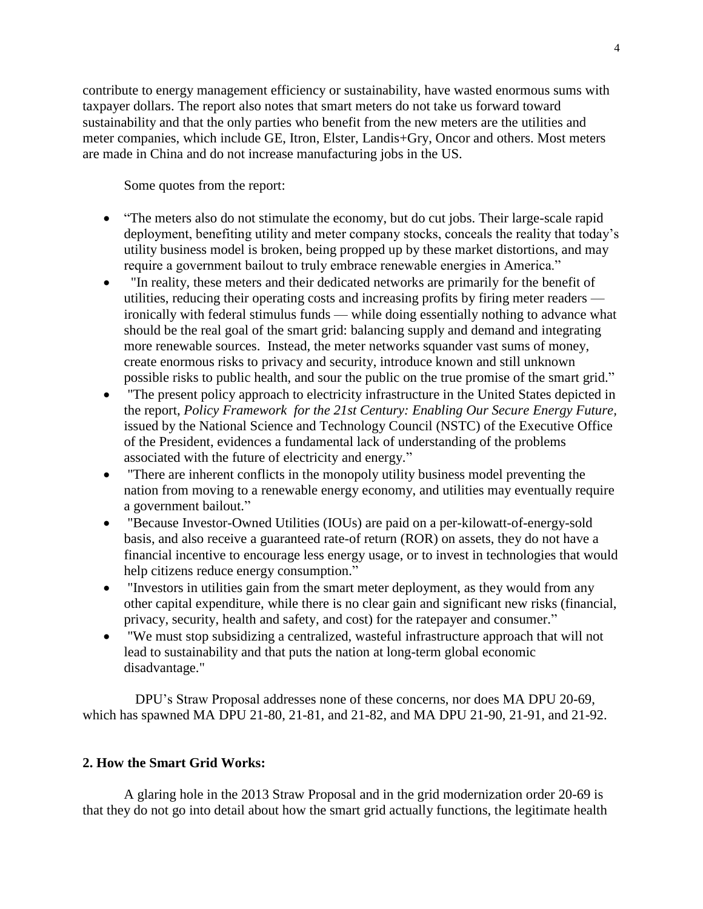contribute to energy management efficiency or sustainability, have wasted enormous sums with taxpayer dollars. The report also notes that smart meters do not take us forward toward sustainability and that the only parties who benefit from the new meters are the utilities and meter companies, which include GE, Itron, Elster, Landis+Gry, Oncor and others. Most meters are made in China and do not increase manufacturing jobs in the US.

Some quotes from the report:

- "The meters also do not stimulate the economy, but do cut jobs. Their large-scale rapid deployment, benefiting utility and meter company stocks, conceals the reality that today's utility business model is broken, being propped up by these market distortions, and may require a government bailout to truly embrace renewable energies in America."
- "In reality, these meters and their dedicated networks are primarily for the benefit of utilities, reducing their operating costs and increasing profits by firing meter readers ironically with federal stimulus funds — while doing essentially nothing to advance what should be the real goal of the smart grid: balancing supply and demand and integrating more renewable sources. Instead, the meter networks squander vast sums of money, create enormous risks to privacy and security, introduce known and still unknown possible risks to public health, and sour the public on the true promise of the smart grid."
- "The present policy approach to electricity infrastructure in the United States depicted in the report, *Policy Framework for the 21st Century: Enabling Our Secure Energy Future,* issued by the National Science and Technology Council (NSTC) of the Executive Office of the President, evidences a fundamental lack of understanding of the problems associated with the future of electricity and energy."
- "There are inherent conflicts in the monopoly utility business model preventing the nation from moving to a renewable energy economy, and utilities may eventually require a government bailout."
- "Because Investor-Owned Utilities (IOUs) are paid on a per-kilowatt-of-energy-sold basis, and also receive a guaranteed rate-of return (ROR) on assets, they do not have a financial incentive to encourage less energy usage, or to invest in technologies that would help citizens reduce energy consumption."
- "Investors in utilities gain from the smart meter deployment, as they would from any other capital expenditure, while there is no clear gain and significant new risks (financial, privacy, security, health and safety, and cost) for the ratepayer and consumer."
- "We must stop subsidizing a centralized, wasteful infrastructure approach that will not lead to sustainability and that puts the nation at long-term global economic disadvantage."

DPU's Straw Proposal addresses none of these concerns, nor does MA DPU 20-69, which has spawned MA DPU 21-80, 21-81, and 21-82, and MA DPU 21-90, 21-91, and 21-92.

# **2. How the Smart Grid Works:**

A glaring hole in the 2013 Straw Proposal and in the grid modernization order 20-69 is that they do not go into detail about how the smart grid actually functions, the legitimate health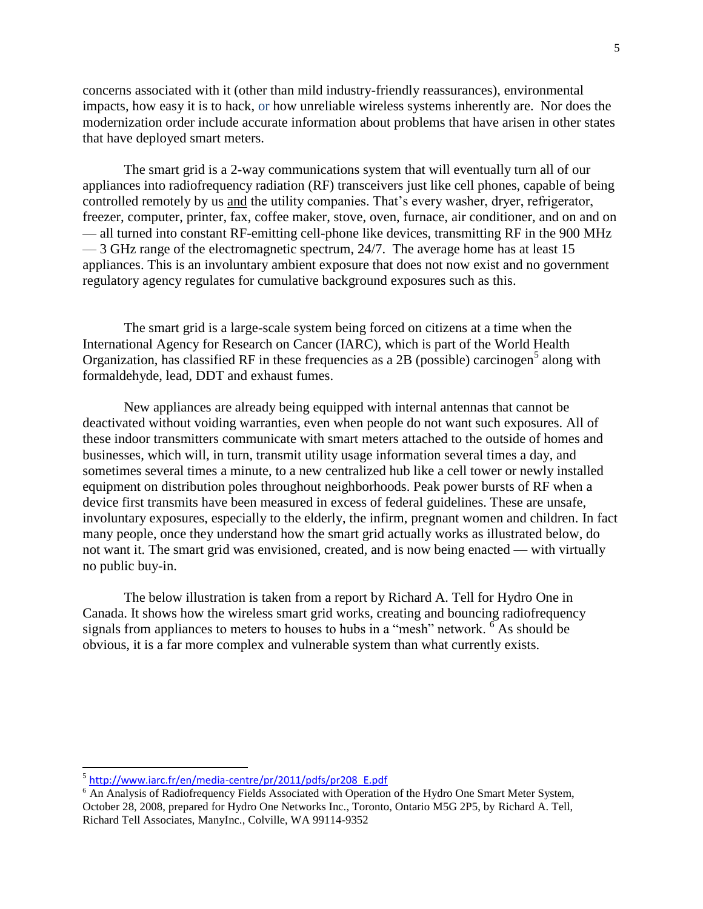concerns associated with it (other than mild industry-friendly reassurances), environmental impacts, how easy it is to hack, or how unreliable wireless systems inherently are. Nor does the modernization order include accurate information about problems that have arisen in other states that have deployed smart meters.

The smart grid is a 2-way communications system that will eventually turn all of our appliances into radiofrequency radiation (RF) transceivers just like cell phones, capable of being controlled remotely by us and the utility companies. That's every washer, dryer, refrigerator, freezer, computer, printer, fax, coffee maker, stove, oven, furnace, air conditioner, and on and on — all turned into constant RF-emitting cell-phone like devices, transmitting RF in the 900 MHz — 3 GHz range of the electromagnetic spectrum, 24/7. The average home has at least 15 appliances. This is an involuntary ambient exposure that does not now exist and no government regulatory agency regulates for cumulative background exposures such as this.

The smart grid is a large-scale system being forced on citizens at a time when the International Agency for Research on Cancer (IARC), which is part of the World Health Organization, has classified RF in these frequencies as a 2B (possible) carcinogen<sup>5</sup> along with formaldehyde, lead, DDT and exhaust fumes.

New appliances are already being equipped with internal antennas that cannot be deactivated without voiding warranties, even when people do not want such exposures. All of these indoor transmitters communicate with smart meters attached to the outside of homes and businesses, which will, in turn, transmit utility usage information several times a day, and sometimes several times a minute, to a new centralized hub like a cell tower or newly installed equipment on distribution poles throughout neighborhoods. Peak power bursts of RF when a device first transmits have been measured in excess of federal guidelines. These are unsafe, involuntary exposures, especially to the elderly, the infirm, pregnant women and children. In fact many people, once they understand how the smart grid actually works as illustrated below, do not want it. The smart grid was envisioned, created, and is now being enacted — with virtually no public buy-in.

The below illustration is taken from a report by Richard A. Tell for Hydro One in Canada. It shows how the wireless smart grid works, creating and bouncing radiofrequency signals from appliances to meters to houses to hubs in a "mesh" network. <sup>6</sup> As should be obvious, it is a far more complex and vulnerable system than what currently exists.

<sup>&</sup>lt;sup>5</sup> [http://www.iarc.fr/en/media-centre/pr/2011/pdfs/pr208\\_E.pdf](http://r20.rs6.net/tn.jsp?llr=nxlaqkgab&et=1106810126079&s=735&e=001AgOlHcwnWJDBuduDAtYpeY1ItAtu4l53vQW4OEEwLgYgvPHrehM3uTBg7Up1M6nNGDKlM2Lz6ZOrzIcNUU94fCdAohcNabdvqNy6qGxUzltrK9fwLE2OmuKbjvDgGZWltC6oMIt6MyUw6gGiKdCHq0je-r6SlJ_D61T5pd-b4W4=)

<sup>&</sup>lt;sup>6</sup> An Analysis of Radiofrequency Fields Associated with Operation of the Hydro One Smart Meter System, October 28, 2008, prepared for Hydro One Networks Inc., Toronto, Ontario M5G 2P5, by Richard A. Tell, Richard Tell Associates, ManyInc., Colville, WA 99114-9352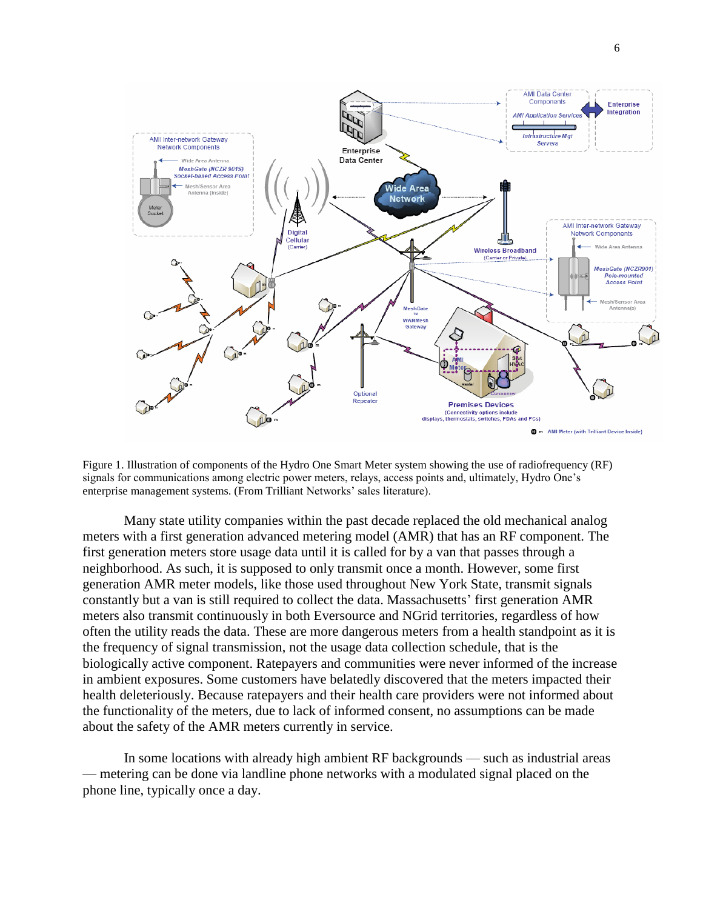

Figure 1. Illustration of components of the Hydro One Smart Meter system showing the use of radiofrequency (RF) signals for communications among electric power meters, relays, access points and, ultimately, Hydro One's enterprise management systems. (From Trilliant Networks' sales literature).

Many state utility companies within the past decade replaced the old mechanical analog meters with a first generation advanced metering model (AMR) that has an RF component. The first generation meters store usage data until it is called for by a van that passes through a neighborhood. As such, it is supposed to only transmit once a month. However, some first generation AMR meter models, like those used throughout New York State, transmit signals constantly but a van is still required to collect the data. Massachusetts' first generation AMR meters also transmit continuously in both Eversource and NGrid territories, regardless of how often the utility reads the data. These are more dangerous meters from a health standpoint as it is the frequency of signal transmission, not the usage data collection schedule, that is the biologically active component. Ratepayers and communities were never informed of the increase in ambient exposures. Some customers have belatedly discovered that the meters impacted their health deleteriously. Because ratepayers and their health care providers were not informed about the functionality of the meters, due to lack of informed consent, no assumptions can be made about the safety of the AMR meters currently in service.

In some locations with already high ambient RF backgrounds — such as industrial areas — metering can be done via landline phone networks with a modulated signal placed on the phone line, typically once a day.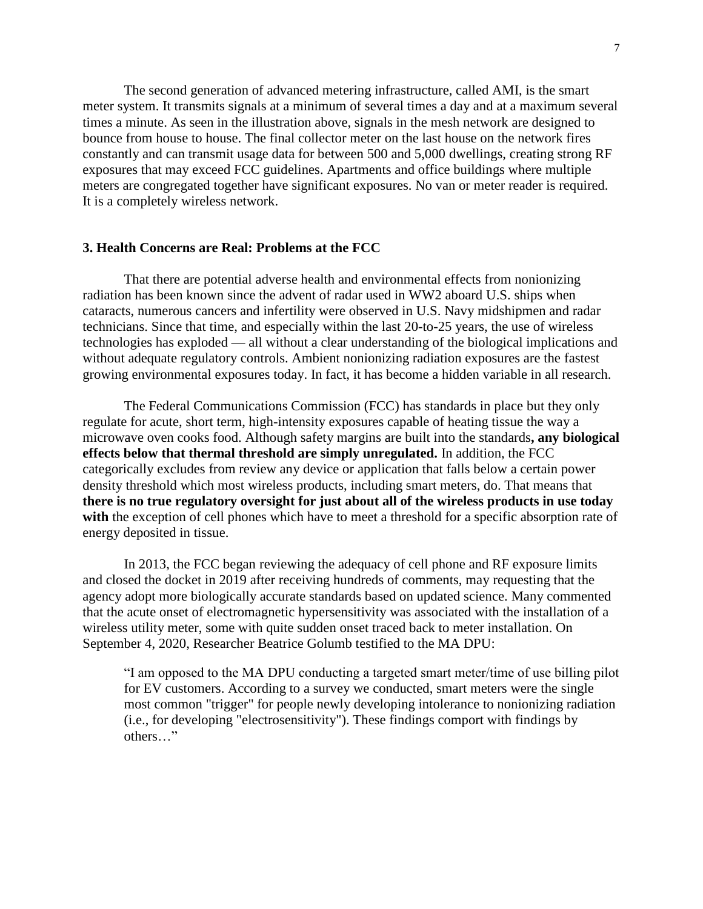The second generation of advanced metering infrastructure, called AMI, is the smart meter system. It transmits signals at a minimum of several times a day and at a maximum several times a minute. As seen in the illustration above, signals in the mesh network are designed to bounce from house to house. The final collector meter on the last house on the network fires constantly and can transmit usage data for between 500 and 5,000 dwellings, creating strong RF exposures that may exceed FCC guidelines. Apartments and office buildings where multiple meters are congregated together have significant exposures. No van or meter reader is required. It is a completely wireless network.

### **3. Health Concerns are Real: Problems at the FCC**

That there are potential adverse health and environmental effects from nonionizing radiation has been known since the advent of radar used in WW2 aboard U.S. ships when cataracts, numerous cancers and infertility were observed in U.S. Navy midshipmen and radar technicians. Since that time, and especially within the last 20-to-25 years, the use of wireless technologies has exploded — all without a clear understanding of the biological implications and without adequate regulatory controls. Ambient nonionizing radiation exposures are the fastest growing environmental exposures today. In fact, it has become a hidden variable in all research.

The Federal Communications Commission (FCC) has standards in place but they only regulate for acute, short term, high-intensity exposures capable of heating tissue the way a microwave oven cooks food. Although safety margins are built into the standards**, any biological effects below that thermal threshold are simply unregulated.** In addition, the FCC categorically excludes from review any device or application that falls below a certain power density threshold which most wireless products, including smart meters, do. That means that **there is no true regulatory oversight for just about all of the wireless products in use today**  with the exception of cell phones which have to meet a threshold for a specific absorption rate of energy deposited in tissue.

In 2013, the FCC began reviewing the adequacy of cell phone and RF exposure limits and closed the docket in 2019 after receiving hundreds of comments, may requesting that the agency adopt more biologically accurate standards based on updated science. Many commented that the acute onset of electromagnetic hypersensitivity was associated with the installation of a wireless utility meter, some with quite sudden onset traced back to meter installation. On September 4, 2020, Researcher Beatrice Golumb testified to the MA DPU:

"I am opposed to the MA DPU conducting a targeted smart meter/time of use billing pilot for EV customers. According to a survey we conducted, smart meters were the single most common "trigger" for people newly developing intolerance to nonionizing radiation (i.e., for developing "electrosensitivity"). These findings comport with findings by others…"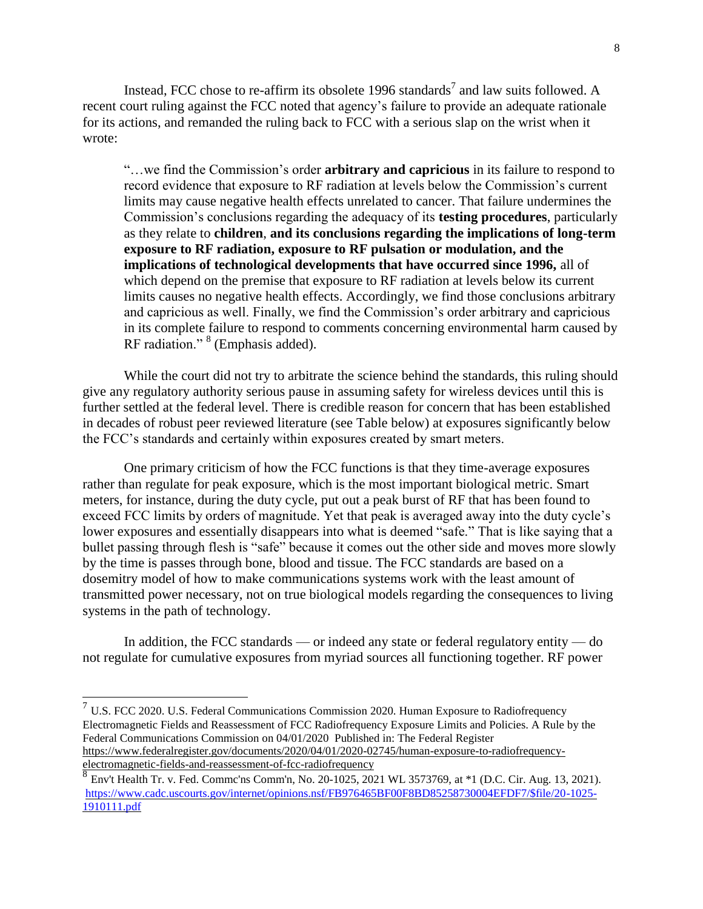Instead, FCC chose to re-affirm its obsolete 1996 standards<sup>7</sup> and law suits followed. A recent court ruling against the FCC noted that agency's failure to provide an adequate rationale for its actions, and remanded the ruling back to FCC with a serious slap on the wrist when it wrote:

"…we find the Commission's order **arbitrary and capricious** in its failure to respond to record evidence that exposure to RF radiation at levels below the Commission's current limits may cause negative health effects unrelated to cancer. That failure undermines the Commission's conclusions regarding the adequacy of its **testing procedures**, particularly as they relate to **children**, **and its conclusions regarding the implications of long-term exposure to RF radiation, exposure to RF pulsation or modulation, and the implications of technological developments that have occurred since 1996,** all of which depend on the premise that exposure to RF radiation at levels below its current limits causes no negative health effects. Accordingly, we find those conclusions arbitrary and capricious as well. Finally, we find the Commission's order arbitrary and capricious in its complete failure to respond to comments concerning environmental harm caused by RF radiation."<sup>8</sup> (Emphasis added).

While the court did not try to arbitrate the science behind the standards, this ruling should give any regulatory authority serious pause in assuming safety for wireless devices until this is further settled at the federal level. There is credible reason for concern that has been established in decades of robust peer reviewed literature (see Table below) at exposures significantly below the FCC's standards and certainly within exposures created by smart meters.

One primary criticism of how the FCC functions is that they time-average exposures rather than regulate for peak exposure, which is the most important biological metric. Smart meters, for instance, during the duty cycle, put out a peak burst of RF that has been found to exceed FCC limits by orders of magnitude. Yet that peak is averaged away into the duty cycle's lower exposures and essentially disappears into what is deemed "safe." That is like saying that a bullet passing through flesh is "safe" because it comes out the other side and moves more slowly by the time is passes through bone, blood and tissue. The FCC standards are based on a dosemitry model of how to make communications systems work with the least amount of transmitted power necessary, not on true biological models regarding the consequences to living systems in the path of technology.

In addition, the FCC standards — or indeed any state or federal regulatory entity — do not regulate for cumulative exposures from myriad sources all functioning together. RF power

 7 U.S. FCC 2020. U.S. Federal Communications Commission 2020. Human Exposure to Radiofrequency Electromagnetic Fields and Reassessment of FCC Radiofrequency Exposure Limits and Policies. A Rule by the Federal [Communications](https://www.federalregister.gov/agencies/federal-communications-commission) Commission on [04/01/2020](https://www.federalregister.gov/documents/2020/04/01) Published in: The Federal Register [https://www.federalregister.gov/documents/2020/04/01/2020-02745/human-exposure-to-radiofrequency](https://www.federalregister.gov/documents/2020/04/01/2020-02745/human-exposure-to-radiofrequency-electromagnetic-fields-and-reassessment-of-fcc-radiofrequency)[electromagnetic-fields-and-reassessment-of-fcc-radiofrequency](https://www.federalregister.gov/documents/2020/04/01/2020-02745/human-exposure-to-radiofrequency-electromagnetic-fields-and-reassessment-of-fcc-radiofrequency)

<sup>8</sup> Env't Health Tr. v. Fed. Commc'ns Comm'n, No. 20-1025, 2021 WL 3573769, at \*1 (D.C. Cir. Aug. 13, 2021). [https://www.cadc.uscourts.gov/internet/opinions.nsf/FB976465BF00F8BD85258730004EFDF7/\\$file/20-1025-](https://www.cadc.uscourts.gov/internet/opinions.nsf/FB976465BF00F8BD85258730004EFDF7/$file/20-1025-1910111.pdf) [1910111.pdf](https://www.cadc.uscourts.gov/internet/opinions.nsf/FB976465BF00F8BD85258730004EFDF7/$file/20-1025-1910111.pdf)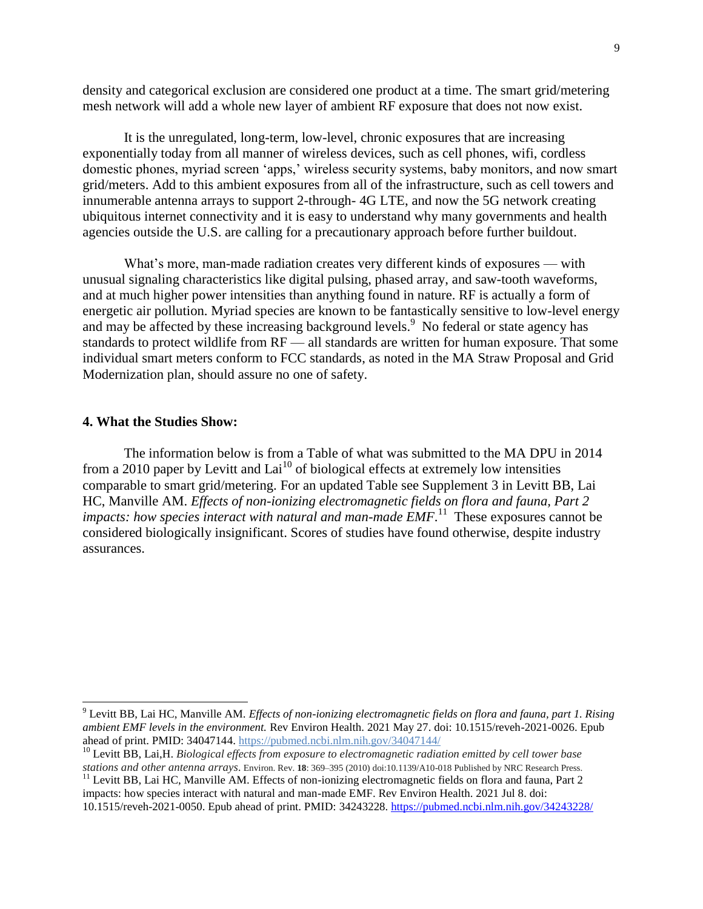density and categorical exclusion are considered one product at a time. The smart grid/metering mesh network will add a whole new layer of ambient RF exposure that does not now exist.

It is the unregulated, long-term, low-level, chronic exposures that are increasing exponentially today from all manner of wireless devices, such as cell phones, wifi, cordless domestic phones, myriad screen 'apps,' wireless security systems, baby monitors, and now smart grid/meters. Add to this ambient exposures from all of the infrastructure, such as cell towers and innumerable antenna arrays to support 2-through- 4G LTE, and now the 5G network creating ubiquitous internet connectivity and it is easy to understand why many governments and health agencies outside the U.S. are calling for a precautionary approach before further buildout.

What's more, man-made radiation creates very different kinds of exposures — with unusual signaling characteristics like digital pulsing, phased array, and saw-tooth waveforms, and at much higher power intensities than anything found in nature. RF is actually a form of energetic air pollution. Myriad species are known to be fantastically sensitive to low-level energy and may be affected by these increasing background levels.<sup>9</sup> No federal or state agency has standards to protect wildlife from RF — all standards are written for human exposure. That some individual smart meters conform to FCC standards, as noted in the MA Straw Proposal and Grid Modernization plan, should assure no one of safety.

### **4. What the Studies Show:**

l

The information below is from a Table of what was submitted to the MA DPU in 2014 from a 2010 paper by Levitt and Lai<sup>10</sup> of biological effects at extremely low intensities comparable to smart grid/metering. For an updated Table see Supplement 3 in Levitt BB, Lai HC, Manville AM. *Effects of non-ionizing electromagnetic fields on flora and fauna, Part 2*  impacts: how species interact with natural and man-made *EMF*.<sup>11</sup> These exposures cannot be considered biologically insignificant. Scores of studies have found otherwise, despite industry assurances.

<sup>9</sup> Levitt BB, Lai HC, Manville AM. *Effects of non-ionizing electromagnetic fields on flora and fauna, part 1. Rising ambient EMF levels in the environment.* Rev Environ Health. 2021 May 27. doi: 10.1515/reveh-2021-0026. Epub ahead of print. PMID: 34047144. <https://pubmed.ncbi.nlm.nih.gov/34047144/>

<sup>10</sup> Levitt BB, Lai,H. *Biological effects from exposure to electromagnetic radiation emitted by cell tower base stations and other antenna arrays.* Environ. Rev. **18**: 369–395 (2010) doi:10.1139/A10-018 Published by NRC Research Press.

 $11$  Levitt BB, Lai HC, Manville AM. Effects of non-ionizing electromagnetic fields on flora and fauna, Part 2 impacts: how species interact with natural and man-made EMF. Rev Environ Health. 2021 Jul 8. doi: 10.1515/reveh-2021-0050. Epub ahead of print. PMID: 34243228. <https://pubmed.ncbi.nlm.nih.gov/34243228/>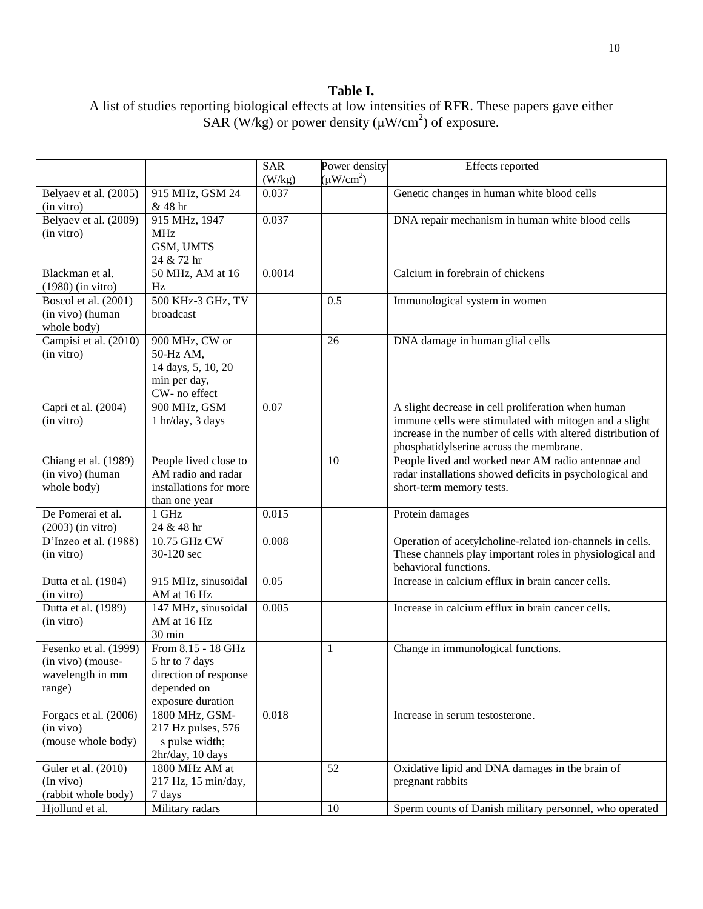# **Table I.**

|                                  |                               | <b>SAR</b> | Power density  | Effects reported                                             |
|----------------------------------|-------------------------------|------------|----------------|--------------------------------------------------------------|
|                                  |                               | (W/kg)     | $(\mu W/cm^2)$ |                                                              |
| Belyaev et al. (2005)            | 915 MHz, GSM 24               | 0.037      |                | Genetic changes in human white blood cells                   |
| (in vitro)                       | & 48 hr                       |            |                |                                                              |
| Belyaev et al. (2009)            | 915 MHz, 1947                 | 0.037      |                | DNA repair mechanism in human white blood cells              |
| (in vitro)                       | <b>MHz</b>                    |            |                |                                                              |
|                                  | GSM, UMTS                     |            |                |                                                              |
|                                  | 24 & 72 hr                    |            |                |                                                              |
| Blackman et al.                  | 50 MHz, AM at 16              | 0.0014     |                | Calcium in forebrain of chickens                             |
| $(1980)$ (in vitro)              | Hz                            |            |                |                                                              |
| Boscol et al. (2001)             | 500 KHz-3 GHz, TV             |            | 0.5            | Immunological system in women                                |
| (in vivo) (human                 | broadcast                     |            |                |                                                              |
| whole body)                      |                               |            |                |                                                              |
| Campisi et al. (2010)            | 900 MHz, CW or                |            | 26             | DNA damage in human glial cells                              |
| (in vitro)                       | 50-Hz AM,                     |            |                |                                                              |
|                                  | 14 days, 5, 10, 20            |            |                |                                                              |
|                                  | min per day,<br>CW- no effect |            |                |                                                              |
| Capri et al. (2004)              | 900 MHz, GSM                  | 0.07       |                | A slight decrease in cell proliferation when human           |
| (in vitro)                       | 1 hr/day, 3 days              |            |                | immune cells were stimulated with mitogen and a slight       |
|                                  |                               |            |                | increase in the number of cells with altered distribution of |
|                                  |                               |            |                | phosphatidylserine across the membrane.                      |
| Chiang et al. (1989)             | People lived close to         |            | 10             | People lived and worked near AM radio antennae and           |
| (in vivo) (human                 | AM radio and radar            |            |                | radar installations showed deficits in psychological and     |
| whole body)                      | installations for more        |            |                | short-term memory tests.                                     |
|                                  | than one year                 |            |                |                                                              |
| De Pomerai et al.                | 1 GHz                         | 0.015      |                | Protein damages                                              |
| $(2003)$ (in vitro)              | 24 & 48 hr                    |            |                |                                                              |
| D'Inzeo et al. (1988)            | 10.75 GHz CW                  | 0.008      |                | Operation of acetylcholine-related ion-channels in cells.    |
| (in vitro)                       | 30-120 sec                    |            |                | These channels play important roles in physiological and     |
|                                  |                               |            |                | behavioral functions.                                        |
| Dutta et al. (1984)              | 915 MHz, sinusoidal           | 0.05       |                | Increase in calcium efflux in brain cancer cells.            |
| (in vitro)                       | AM at 16 Hz                   |            |                |                                                              |
| Dutta et al. (1989)              | 147 MHz, sinusoidal           | 0.005      |                | Increase in calcium efflux in brain cancer cells.            |
| (in vitro)                       | AM at 16 Hz                   |            |                |                                                              |
|                                  | 30 min                        |            |                |                                                              |
| Fesenko et al. (1999)            | From 8.15 - 18 GHz            |            | 1              | Change in immunological functions.                           |
| (in vivo) (mouse-                | 5 hr to 7 days                |            |                |                                                              |
| wavelength in mm                 | direction of response         |            |                |                                                              |
| range)                           | depended on                   |            |                |                                                              |
|                                  | exposure duration             |            |                |                                                              |
| Forgacs et al. (2006)            | 1800 MHz, GSM-                | 0.018      |                | Increase in serum testosterone.                              |
| (in vivo)                        | 217 Hz pulses, 576            |            |                |                                                              |
| (mouse whole body)               | $\square$ s pulse width;      |            |                |                                                              |
|                                  | 2hr/day, 10 days              |            |                |                                                              |
| Guler et al. (2010)              | 1800 MHz AM at                |            | 52             | Oxidative lipid and DNA damages in the brain of              |
| (In vivo)<br>(rabbit whole body) | 217 Hz, 15 min/day,           |            |                | pregnant rabbits                                             |
| Hjollund et al.                  | 7 days<br>Military radars     |            | 10             | Sperm counts of Danish military personnel, who operated      |
|                                  |                               |            |                |                                                              |

# A list of studies reporting biological effects at low intensities of RFR. These papers gave either SAR (W/kg) or power density ( $\mu$ W/cm<sup>2</sup>) of exposure.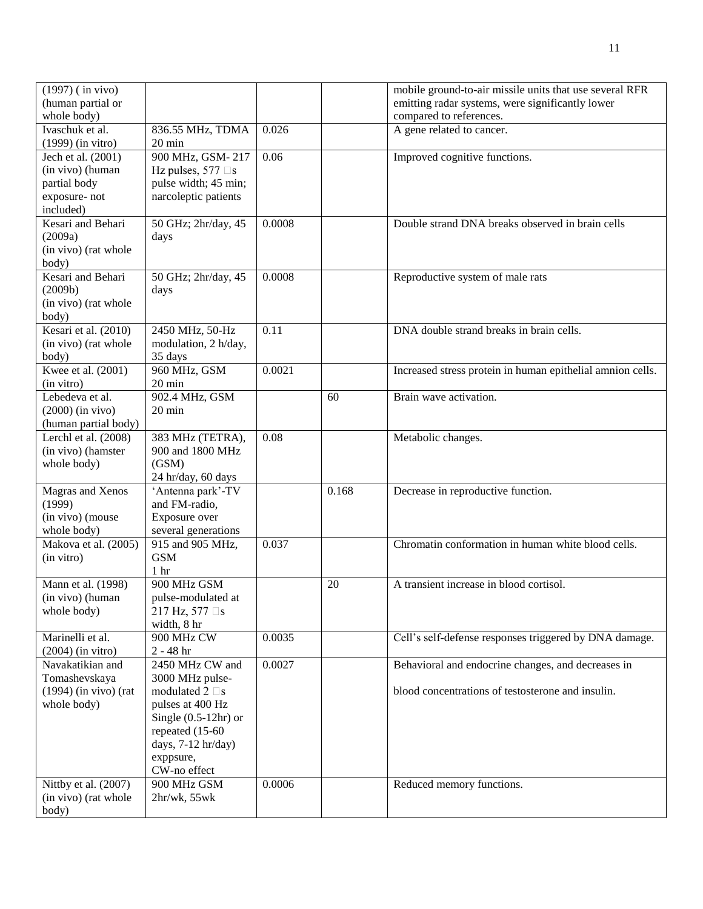| $(1997)$ (in vivo)<br>(human partial or      |                                      |        |       | mobile ground-to-air missile units that use several RFR<br>emitting radar systems, were significantly lower |
|----------------------------------------------|--------------------------------------|--------|-------|-------------------------------------------------------------------------------------------------------------|
| whole body)                                  |                                      |        |       | compared to references.                                                                                     |
| Ivaschuk et al.                              | 836.55 MHz, TDMA                     | 0.026  |       | A gene related to cancer.                                                                                   |
| $(1999)$ (in vitro)                          | 20 min                               |        |       |                                                                                                             |
| Jech et al. (2001)                           | 900 MHz, GSM-217                     | 0.06   |       | Improved cognitive functions.                                                                               |
| (in vivo) (human                             | Hz pulses, $577 \square s$           |        |       |                                                                                                             |
| partial body                                 | pulse width; 45 min;                 |        |       |                                                                                                             |
| exposure-not                                 | narcoleptic patients                 |        |       |                                                                                                             |
| included)<br>Kesari and Behari               | 50 GHz; 2hr/day, 45                  | 0.0008 |       | Double strand DNA breaks observed in brain cells                                                            |
| (2009a)                                      | days                                 |        |       |                                                                                                             |
| (in vivo) (rat whole                         |                                      |        |       |                                                                                                             |
| body)                                        |                                      |        |       |                                                                                                             |
| Kesari and Behari                            | 50 GHz; 2hr/day, 45                  | 0.0008 |       | Reproductive system of male rats                                                                            |
| (2009b)                                      | days                                 |        |       |                                                                                                             |
| (in vivo) (rat whole                         |                                      |        |       |                                                                                                             |
| body)                                        |                                      |        |       |                                                                                                             |
| Kesari et al. (2010)                         | 2450 MHz, 50-Hz                      | 0.11   |       | DNA double strand breaks in brain cells.                                                                    |
| (in vivo) (rat whole                         | modulation, 2 h/day,                 |        |       |                                                                                                             |
| body)                                        | 35 days                              |        |       |                                                                                                             |
| Kwee et al. (2001)                           | 960 MHz, GSM                         | 0.0021 |       | Increased stress protein in human epithelial amnion cells.                                                  |
| (in vitro)                                   | $20 \text{ min}$                     |        |       |                                                                                                             |
| Lebedeva et al.                              | 902.4 MHz, GSM                       |        | 60    | Brain wave activation.                                                                                      |
| $(2000)$ (in vivo)                           | 20 min                               |        |       |                                                                                                             |
| (human partial body)<br>Lerchl et al. (2008) |                                      | 0.08   |       |                                                                                                             |
| (in vivo) (hamster                           | 383 MHz (TETRA),<br>900 and 1800 MHz |        |       | Metabolic changes.                                                                                          |
| whole body)                                  | (GSM)                                |        |       |                                                                                                             |
|                                              | 24 hr/day, 60 days                   |        |       |                                                                                                             |
| Magras and Xenos                             | 'Antenna park'-TV                    |        | 0.168 | Decrease in reproductive function.                                                                          |
| (1999)                                       | and FM-radio,                        |        |       |                                                                                                             |
| (in vivo) (mouse                             | Exposure over                        |        |       |                                                                                                             |
| whole body)                                  | several generations                  |        |       |                                                                                                             |
| Makova et al. (2005)                         | 915 and 905 MHz,                     | 0.037  |       | Chromatin conformation in human white blood cells.                                                          |
| (in vitro)                                   | <b>GSM</b>                           |        |       |                                                                                                             |
|                                              | 1 <sub>hr</sub>                      |        |       |                                                                                                             |
| Mann et al. (1998)                           | 900 MHz GSM                          |        | 20    | A transient increase in blood cortisol.                                                                     |
| (in vivo) (human                             | pulse-modulated at                   |        |       |                                                                                                             |
| whole body)                                  | 217 Hz, 577 □s                       |        |       |                                                                                                             |
| Marinelli et al.                             | width, 8 hr<br>900 MHz CW            | 0.0035 |       | Cell's self-defense responses triggered by DNA damage.                                                      |
| $(2004)$ (in vitro)                          | $2 - 48$ hr                          |        |       |                                                                                                             |
| Navakatikian and                             | 2450 MHz CW and                      | 0.0027 |       | Behavioral and endocrine changes, and decreases in                                                          |
| Tomashevskaya                                | 3000 MHz pulse-                      |        |       |                                                                                                             |
| $(1994)$ (in vivo) (rat                      | modulated $2 \square s$              |        |       | blood concentrations of testosterone and insulin.                                                           |
| whole body)                                  | pulses at 400 Hz                     |        |       |                                                                                                             |
|                                              | Single $(0.5-12hr)$ or               |        |       |                                                                                                             |
|                                              | repeated (15-60)                     |        |       |                                                                                                             |
|                                              | days, 7-12 hr/day)                   |        |       |                                                                                                             |
|                                              | exppsure,                            |        |       |                                                                                                             |
|                                              | CW-no effect                         |        |       |                                                                                                             |
| Nittby et al. (2007)                         | 900 MHz GSM                          | 0.0006 |       | Reduced memory functions.                                                                                   |
| (in vivo) (rat whole<br>body)                | 2hr/wk, 55wk                         |        |       |                                                                                                             |
|                                              |                                      |        |       |                                                                                                             |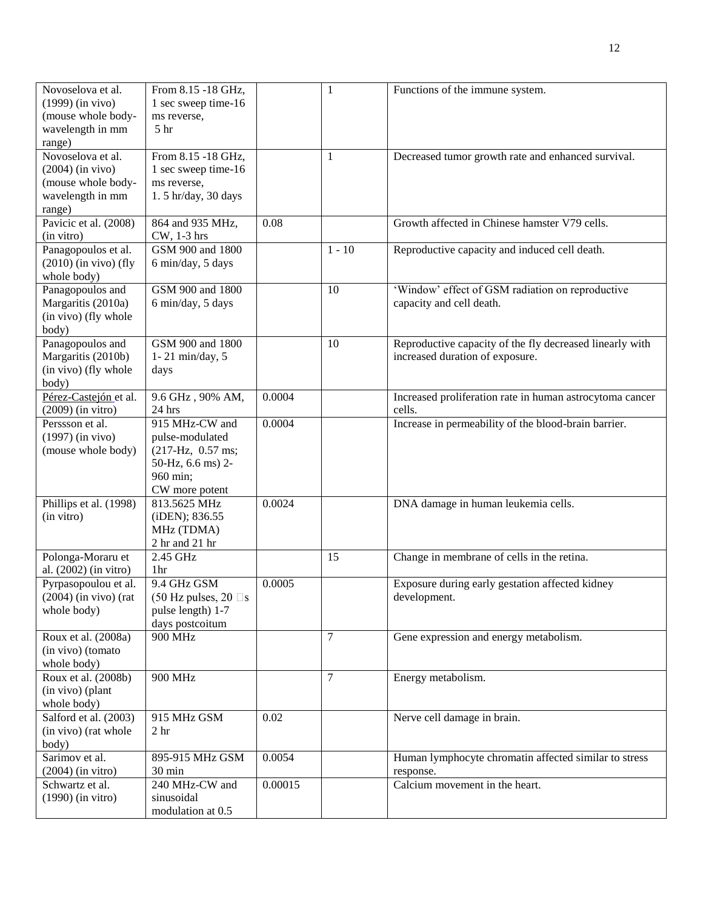| Novoselova et al.                          | From 8.15 -18 GHz,            |         | 1        | Functions of the immune system.                          |
|--------------------------------------------|-------------------------------|---------|----------|----------------------------------------------------------|
| $(1999)$ (in vivo)                         | 1 sec sweep time-16           |         |          |                                                          |
| (mouse whole body-                         | ms reverse,                   |         |          |                                                          |
| wavelength in mm                           | 5 <sup>hr</sup>               |         |          |                                                          |
| range)                                     |                               |         |          |                                                          |
| Novoselova et al.                          | From 8.15 -18 GHz,            |         | 1        | Decreased tumor growth rate and enhanced survival.       |
| $(2004)$ (in vivo)                         | 1 sec sweep time-16           |         |          |                                                          |
| (mouse whole body-                         | ms reverse,                   |         |          |                                                          |
|                                            | 1.5 hr/day, 30 days           |         |          |                                                          |
| wavelength in mm                           |                               |         |          |                                                          |
| range)                                     |                               |         |          |                                                          |
| Pavicic et al. (2008)                      | 864 and 935 MHz,              | 0.08    |          | Growth affected in Chinese hamster V79 cells.            |
| (in vitro)                                 | CW, 1-3 hrs                   |         |          |                                                          |
| Panagopoulos et al.                        | GSM 900 and 1800              |         | $1 - 10$ | Reproductive capacity and induced cell death.            |
| $(2010)$ (in vivo) (fly                    | 6 min/day, 5 days             |         |          |                                                          |
| whole body)                                |                               |         |          |                                                          |
| Panagopoulos and                           | GSM 900 and 1800              |         | 10       | 'Window' effect of GSM radiation on reproductive         |
| Margaritis (2010a)                         | 6 min/day, 5 days             |         |          | capacity and cell death.                                 |
| (in vivo) (fly whole                       |                               |         |          |                                                          |
| body)                                      |                               |         |          |                                                          |
| Panagopoulos and                           | GSM 900 and 1800              |         | 10       | Reproductive capacity of the fly decreased linearly with |
| Margaritis (2010b)                         | $1 - 21$ min/day, 5           |         |          | increased duration of exposure.                          |
| (in vivo) (fly whole                       | days                          |         |          |                                                          |
| body)                                      |                               |         |          |                                                          |
| Pérez-Castejón et al.                      | 9.6 GHz, 90% AM,              | 0.0004  |          | Increased proliferation rate in human astrocytoma cancer |
| $(2009)$ (in vitro)                        | 24 hrs                        |         |          | cells.                                                   |
| Perssson et al.                            | 915 MHz-CW and                | 0.0004  |          | Increase in permeability of the blood-brain barrier.     |
| $(1997)$ (in vivo)                         | pulse-modulated               |         |          |                                                          |
| (mouse whole body)                         | $(217-Hz, 0.57$ ms;           |         |          |                                                          |
|                                            | 50-Hz, 6.6 ms) 2-             |         |          |                                                          |
|                                            | 960 min;                      |         |          |                                                          |
|                                            | CW more potent                |         |          |                                                          |
| Phillips et al. (1998)                     | 813.5625 MHz                  | 0.0024  |          | DNA damage in human leukemia cells.                      |
| (in vitro)                                 | (iDEN); 836.55                |         |          |                                                          |
|                                            | MHz (TDMA)                    |         |          |                                                          |
|                                            | 2 hr and 21 hr                |         |          |                                                          |
|                                            | 2.45 GHz                      |         | 15       | Change in membrane of cells in the retina.               |
| Polonga-Moraru et<br>al. (2002) (in vitro) | 1hr                           |         |          |                                                          |
|                                            | 9.4 GHz GSM                   | 0.0005  |          |                                                          |
| Pyrpasopoulou et al.                       |                               |         |          | Exposure during early gestation affected kidney          |
| $(2004)$ (in vivo) (rat                    | (50 Hz pulses, 20 $\square$ s |         |          | development.                                             |
| whole body)                                | pulse length) 1-7             |         |          |                                                          |
|                                            | days postcoitum               |         |          |                                                          |
| Roux et al. (2008a)                        | 900 MHz                       |         | 7        | Gene expression and energy metabolism.                   |
| (in vivo) (tomato                          |                               |         |          |                                                          |
| whole body)                                |                               |         |          |                                                          |
| Roux et al. (2008b)                        | 900 MHz                       |         | $\tau$   | Energy metabolism.                                       |
| (in vivo) (plant                           |                               |         |          |                                                          |
| whole body)                                |                               |         |          |                                                          |
| Salford et al. (2003)                      | 915 MHz GSM                   | 0.02    |          | Nerve cell damage in brain.                              |
| (in vivo) (rat whole                       | 2 <sub>hr</sub>               |         |          |                                                          |
| body)                                      |                               |         |          |                                                          |
| Sarimov et al.                             | 895-915 MHz GSM               | 0.0054  |          | Human lymphocyte chromatin affected similar to stress    |
| $(2004)$ (in vitro)                        | 30 min                        |         |          | response.                                                |
| Schwartz et al.                            | 240 MHz-CW and                | 0.00015 |          | Calcium movement in the heart.                           |
| $(1990)$ (in vitro)                        | sinusoidal                    |         |          |                                                          |
|                                            | modulation at 0.5             |         |          |                                                          |
|                                            |                               |         |          |                                                          |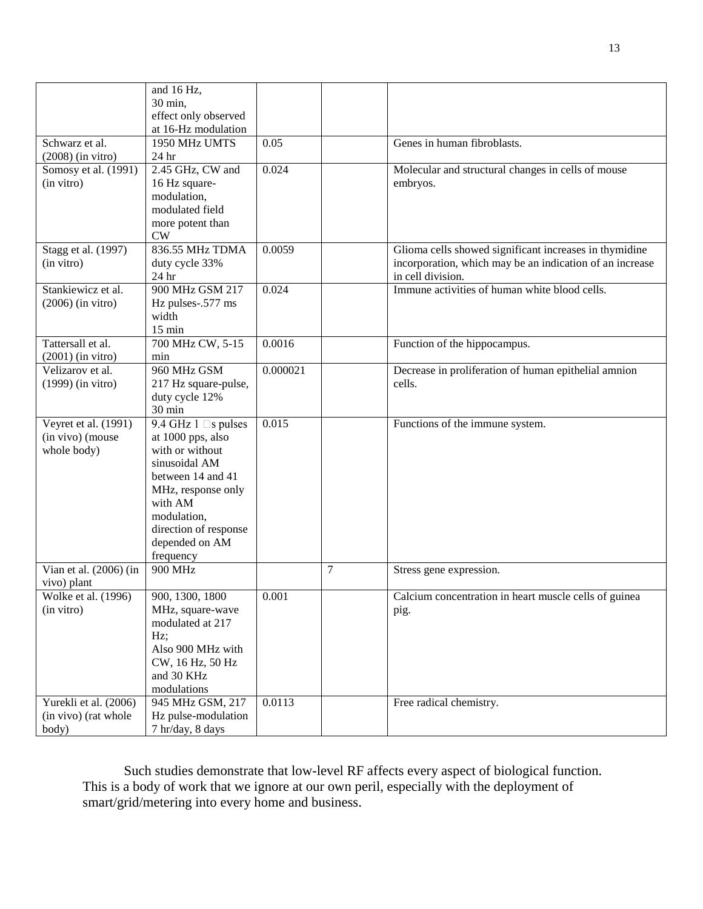|                                    | and 16 Hz,                   |          |                |                                                          |
|------------------------------------|------------------------------|----------|----------------|----------------------------------------------------------|
|                                    | 30 min,                      |          |                |                                                          |
|                                    | effect only observed         |          |                |                                                          |
|                                    | at 16-Hz modulation          |          |                |                                                          |
| Schwarz et al.                     | 1950 MHz UMTS                | 0.05     |                | Genes in human fibroblasts.                              |
|                                    |                              |          |                |                                                          |
| $(2008)$ (in vitro)                | 24 hr                        |          |                |                                                          |
| Somosy et al. (1991)               | 2.45 GHz, CW and             | 0.024    |                | Molecular and structural changes in cells of mouse       |
| (in vitro)                         | 16 Hz square-                |          |                | embryos.                                                 |
|                                    | modulation,                  |          |                |                                                          |
|                                    | modulated field              |          |                |                                                          |
|                                    | more potent than             |          |                |                                                          |
|                                    | CW                           |          |                |                                                          |
| Stagg et al. (1997)                | 836.55 MHz TDMA              | 0.0059   |                | Glioma cells showed significant increases in thymidine   |
| (in vitro)                         | duty cycle 33%               |          |                | incorporation, which may be an indication of an increase |
|                                    | 24 hr                        |          |                | in cell division.                                        |
| Stankiewicz et al.                 | 900 MHz GSM 217              | 0.024    |                | Immune activities of human white blood cells.            |
| $(2006)$ (in vitro)                | Hz pulses-.577 ms            |          |                |                                                          |
|                                    | width                        |          |                |                                                          |
|                                    | $15 \text{ min}$             |          |                |                                                          |
| Tattersall et al.                  | 700 MHz CW, 5-15             | 0.0016   |                | Function of the hippocampus.                             |
| $(2001)$ (in vitro)                | min                          |          |                |                                                          |
| Velizarov et al.                   | 960 MHz GSM                  | 0.000021 |                | Decrease in proliferation of human epithelial amnion     |
| $(1999)$ (in vitro)                | 217 Hz square-pulse,         |          |                | cells.                                                   |
|                                    | duty cycle 12%               |          |                |                                                          |
|                                    | 30 min                       |          |                |                                                          |
| Veyret et al. (1991)               | 9.4 GHz $1 \square s$ pulses | 0.015    |                | Functions of the immune system.                          |
| (in vivo) (mouse                   | at 1000 pps, also            |          |                |                                                          |
| whole body)                        | with or without              |          |                |                                                          |
|                                    | sinusoidal AM                |          |                |                                                          |
|                                    | between 14 and 41            |          |                |                                                          |
|                                    | MHz, response only           |          |                |                                                          |
|                                    | with AM                      |          |                |                                                          |
|                                    | modulation,                  |          |                |                                                          |
|                                    | direction of response        |          |                |                                                          |
|                                    | depended on AM               |          |                |                                                          |
|                                    | frequency                    |          |                |                                                          |
| Vian et al. $(2006)$ (in           | 900 MHz                      |          | $\overline{7}$ | Stress gene expression.                                  |
|                                    |                              |          |                |                                                          |
| vivo) plant<br>Wolke et al. (1996) | 900, 1300, 1800              | 0.001    |                | Calcium concentration in heart muscle cells of guinea    |
|                                    |                              |          |                |                                                          |
| (in vitro)                         | MHz, square-wave             |          |                | pig.                                                     |
|                                    | modulated at 217             |          |                |                                                          |
|                                    | Hz;                          |          |                |                                                          |
|                                    | Also 900 MHz with            |          |                |                                                          |
|                                    | CW, 16 Hz, 50 Hz             |          |                |                                                          |
|                                    | and 30 KHz                   |          |                |                                                          |
|                                    | modulations                  |          |                |                                                          |
| Yurekli et al. (2006)              | 945 MHz GSM, 217             | 0.0113   |                | Free radical chemistry.                                  |
| (in vivo) (rat whole               | Hz pulse-modulation          |          |                |                                                          |
| body)                              | 7 hr/day, 8 days             |          |                |                                                          |

Such studies demonstrate that low-level RF affects every aspect of biological function. This is a body of work that we ignore at our own peril, especially with the deployment of smart/grid/metering into every home and business.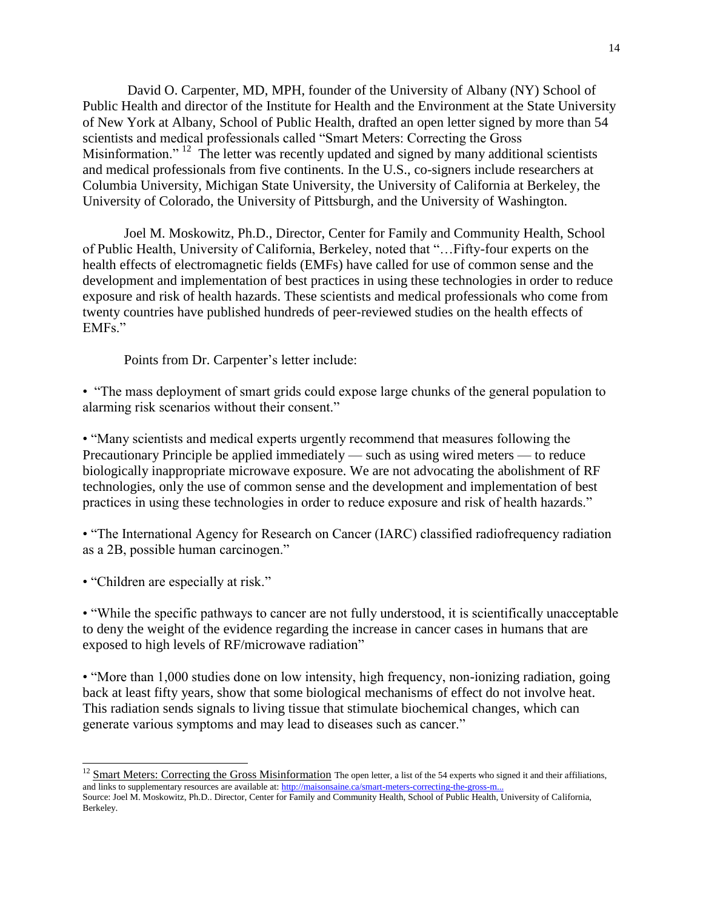David O. Carpenter, MD, MPH, founder of the University of Albany (NY) School of Public Health and director of the Institute for Health and the Environment at the State University of New York at Albany, School of Public Health, drafted an open letter signed by more than 54 scientists and medical professionals called "Smart Meters: Correcting the Gross Misinformation."<sup>12</sup> The letter was recently updated and signed by many additional scientists and medical professionals from five continents. In the U.S., co-signers include researchers at Columbia University, Michigan State University, the University of California at Berkeley, the University of Colorado, the University of Pittsburgh, and the University of Washington.

Joel M. Moskowitz, Ph.D., Director, Center for Family and Community Health, School of Public Health, University of California, Berkeley, noted that "…Fifty-four experts on the health effects of electromagnetic fields (EMFs) have called for use of common sense and the development and implementation of best practices in using these technologies in order to reduce exposure and risk of health hazards. These scientists and medical professionals who come from twenty countries have published hundreds of peer-reviewed studies on the health effects of EMFs."

Points from Dr. Carpenter's letter include:

• "The mass deployment of smart grids could expose large chunks of the general population to alarming risk scenarios without their consent."

• "Many scientists and medical experts urgently recommend that measures following the Precautionary Principle be applied immediately — such as using wired meters — to reduce biologically inappropriate microwave exposure. We are not advocating the abolishment of RF technologies, only the use of common sense and the development and implementation of best practices in using these technologies in order to reduce exposure and risk of health hazards."

• "The International Agency for Research on Cancer (IARC) classified radiofrequency radiation as a 2B, possible human carcinogen."

• "Children are especially at risk."

 $\overline{\phantom{a}}$ 

• "While the specific pathways to cancer are not fully understood, it is scientifically unacceptable to deny the weight of the evidence regarding the increase in cancer cases in humans that are exposed to high levels of RF/microwave radiation"

• "More than 1,000 studies done on low intensity, high frequency, non-ionizing radiation, going back at least fifty years, show that some biological mechanisms of effect do not involve heat. This radiation sends signals to living tissue that stimulate biochemical changes, which can generate various symptoms and may lead to diseases such as cancer."

<sup>&</sup>lt;sup>12</sup> [Smart Meters: Correcting the Gross Misinformation](http://maisonsaine.ca/smart-meters-correcting-the-gross-misinformation/) The open letter, a list of the 54 experts who signed it and their affiliations, and links to supplementary resources are available at: http://maisonsaine.ca/smart-meters-correcting-the-gross-n

Source: Joel M. Moskowitz, Ph.D.. Director, Center for Family and Community Health, School of Public Health, University of California, Berkeley.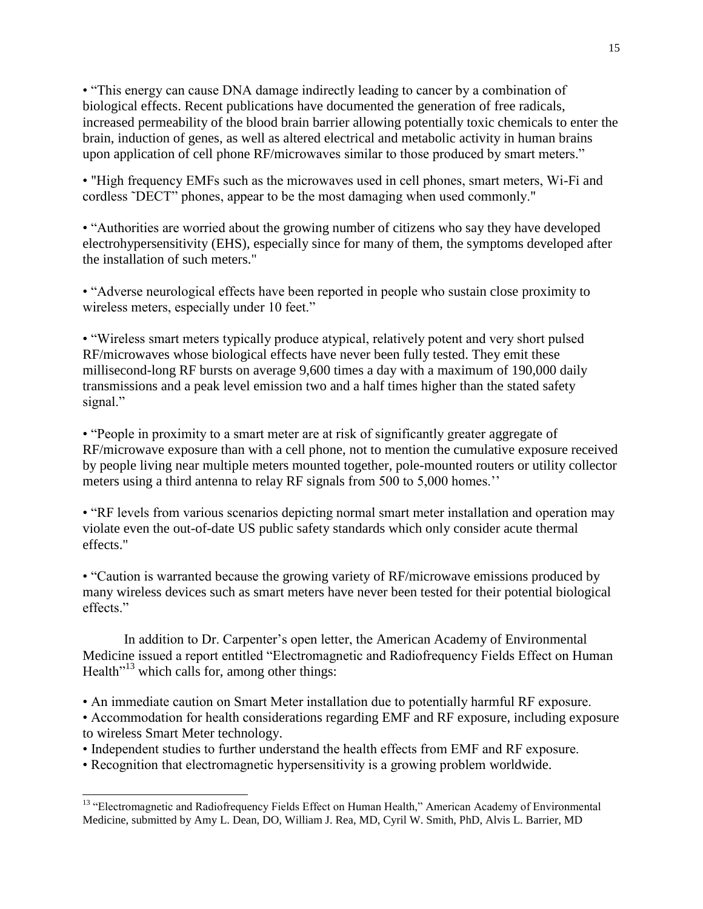• "This energy can cause DNA damage indirectly leading to cancer by a combination of biological effects. Recent publications have documented the generation of free radicals, increased permeability of the blood brain barrier allowing potentially toxic chemicals to enter the brain, induction of genes, as well as altered electrical and metabolic activity in human brains upon application of cell phone RF/microwaves similar to those produced by smart meters."

• "High frequency EMFs such as the microwaves used in cell phones, smart meters, Wi-Fi and cordless ˜DECT" phones, appear to be the most damaging when used commonly."

• "Authorities are worried about the growing number of citizens who say they have developed electrohypersensitivity (EHS), especially since for many of them, the symptoms developed after the installation of such meters."

• "Adverse neurological effects have been reported in people who sustain close proximity to wireless meters, especially under 10 feet."

• "Wireless smart meters typically produce atypical, relatively potent and very short pulsed RF/microwaves whose biological effects have never been fully tested. They emit these millisecond-long RF bursts on average 9,600 times a day with a maximum of 190,000 daily transmissions and a peak level emission two and a half times higher than the stated safety signal."

• "People in proximity to a smart meter are at risk of significantly greater aggregate of RF/microwave exposure than with a cell phone, not to mention the cumulative exposure received by people living near multiple meters mounted together, pole-mounted routers or utility collector meters using a third antenna to relay RF signals from 500 to 5,000 homes.''

• "RF levels from various scenarios depicting normal smart meter installation and operation may violate even the out-of-date US public safety standards which only consider acute thermal effects."

• "Caution is warranted because the growing variety of RF/microwave emissions produced by many wireless devices such as smart meters have never been tested for their potential biological effects."

In addition to Dr. Carpenter's open letter, the American Academy of Environmental Medicine issued a report entitled "Electromagnetic and Radiofrequency Fields Effect on Human Health<sup> $13$ </sup> which calls for, among other things:

• An immediate caution on Smart Meter installation due to potentially harmful RF exposure.

• Accommodation for health considerations regarding EMF and RF exposure, including exposure to wireless Smart Meter technology.

- Independent studies to further understand the health effects from EMF and RF exposure.
- Recognition that electromagnetic hypersensitivity is a growing problem worldwide.

 $\overline{a}$ <sup>13</sup> "Electromagnetic and Radiofrequency Fields Effect on Human Health," American Academy of Environmental Medicine, submitted by Amy L. Dean, DO, William J. Rea, MD, Cyril W. Smith, PhD, Alvis L. Barrier, MD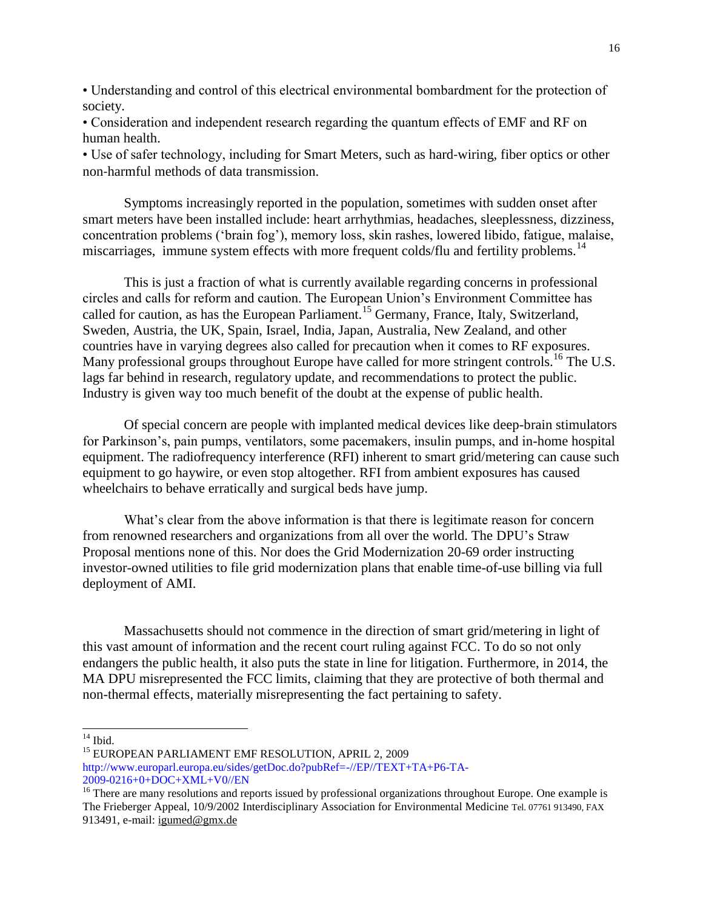• Understanding and control of this electrical environmental bombardment for the protection of society.

• Consideration and independent research regarding the quantum effects of EMF and RF on human health.

• Use of safer technology, including for Smart Meters, such as hard‐wiring, fiber optics or other non‐harmful methods of data transmission.

Symptoms increasingly reported in the population, sometimes with sudden onset after smart meters have been installed include: heart arrhythmias, headaches, sleeplessness, dizziness, concentration problems ('brain fog'), memory loss, skin rashes, lowered libido, fatigue, malaise, miscarriages, immune system effects with more frequent colds/flu and fertility problems.<sup>14</sup>

This is just a fraction of what is currently available regarding concerns in professional circles and calls for reform and caution. The European Union's Environment Committee has called for caution, as has the European Parliament.<sup>15</sup> Germany, France, Italy, Switzerland, Sweden, Austria, the UK, Spain, Israel, India, Japan, Australia, New Zealand, and other countries have in varying degrees also called for precaution when it comes to RF exposures. Many professional groups throughout Europe have called for more stringent controls.<sup>16</sup> The U.S. lags far behind in research, regulatory update, and recommendations to protect the public. Industry is given way too much benefit of the doubt at the expense of public health.

Of special concern are people with implanted medical devices like deep-brain stimulators for Parkinson's, pain pumps, ventilators, some pacemakers, insulin pumps, and in-home hospital equipment. The radiofrequency interference (RFI) inherent to smart grid/metering can cause such equipment to go haywire, or even stop altogether. RFI from ambient exposures has caused wheelchairs to behave erratically and surgical beds have jump.

What's clear from the above information is that there is legitimate reason for concern from renowned researchers and organizations from all over the world. The DPU's Straw Proposal mentions none of this. Nor does the Grid Modernization 20-69 order instructing investor-owned utilities to file grid modernization plans that enable time-of-use billing via full deployment of AMI.

Massachusetts should not commence in the direction of smart grid/metering in light of this vast amount of information and the recent court ruling against FCC. To do so not only endangers the public health, it also puts the state in line for litigation. Furthermore, in 2014, the MA DPU misrepresented the FCC limits, claiming that they are protective of both thermal and non-thermal effects, materially misrepresenting the fact pertaining to safety.

 $14$  Ibid.

 $\overline{\phantom{a}}$ 

<sup>15</sup> EUROPEAN PARLIAMENT EMF RESOLUTION, APRIL 2, 2009

http://www.europarl.europa.eu/sides/getDoc.do?pubRef=-//EP//TEXT+TA+P6-TA-2009-0216+0+DOC+XML+V0//EN

<sup>16</sup> There are many resolutions and reports issued by professional organizations throughout Europe. One example is The Frieberger Appeal, 10/9/2002 Interdisciplinary Association for Environmental Medicine Tel. 07761 913490, FAX 913491, e-mail: [igumed@gmx.de](mailto:igumed@gmx.de)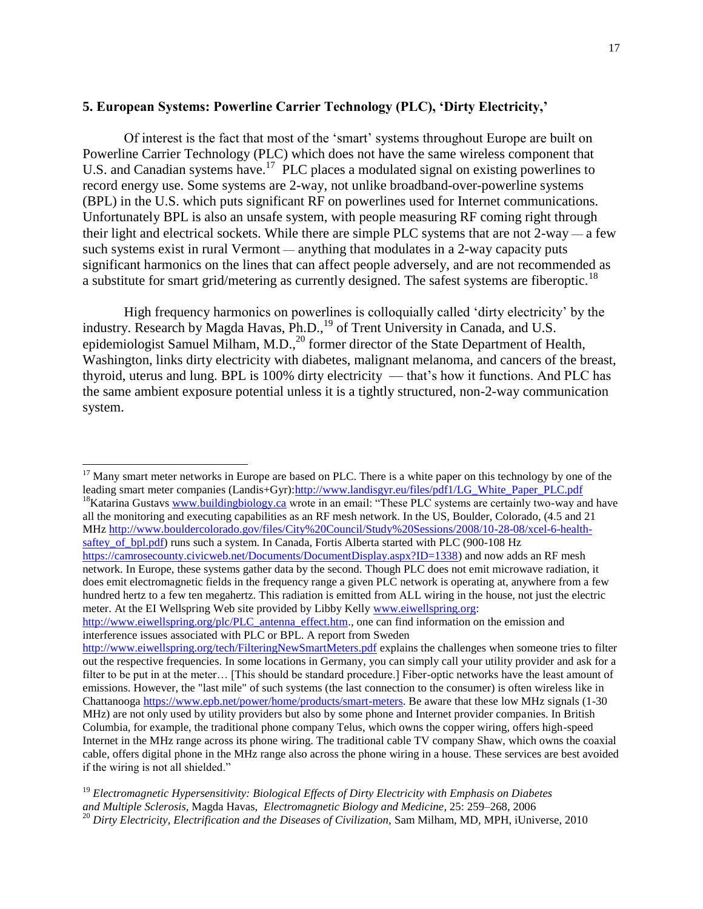### **5. European Systems: Powerline Carrier Technology (PLC), 'Dirty Electricity,'**

Of interest is the fact that most of the 'smart' systems throughout Europe are built on Powerline Carrier Technology (PLC) which does not have the same wireless component that U.S. and Canadian systems have.<sup>17</sup> PLC places a modulated signal on existing powerlines to record energy use. Some systems are 2-way, not unlike broadband-over-powerline systems (BPL) in the U.S. which puts significant RF on powerlines used for Internet communications. Unfortunately BPL is also an unsafe system, with people measuring RF coming right through their light and electrical sockets. While there are simple PLC systems that are not 2-way — a few such systems exist in rural Vermont — anything that modulates in a 2-way capacity puts significant harmonics on the lines that can affect people adversely, and are not recommended as a substitute for smart grid/metering as currently designed. The safest systems are fiberoptic.<sup>18</sup>

High frequency harmonics on powerlines is colloquially called 'dirty electricity' by the industry. Research by Magda Havas, Ph.D.,<sup>19</sup> of Trent University in Canada, and U.S. epidemiologist Samuel Milham, M.D.,<sup>20</sup> former director of the State Department of Health, Washington, links dirty electricity with diabetes, malignant melanoma, and cancers of the breast, thyroid, uterus and lung. BPL is 100% dirty electricity — that's how it functions. And PLC has the same ambient exposure potential unless it is a tightly structured, non-2-way communication system.

l

<sup>18</sup>Katarina Gustavs [www.buildingbiology.ca](http://www.buildingbiology.ca/) wrote in an email: "These PLC systems are certainly two-way and have all the monitoring and executing capabilities as an RF mesh network. In the US, Boulder, Colorado, (4.5 and 21 MHz [http://www.bouldercolorado.gov/files/City%20Council/Study%20Sessions/2008/10-28-08/xcel-6-health](http://www.bouldercolorado.gov/files/City%20Council/Study%20Sessions/2008/10-28-08/xcel-6-health-saftey_of_bpl.pdf)[saftey\\_of\\_bpl.pdf\)](http://www.bouldercolorado.gov/files/City%20Council/Study%20Sessions/2008/10-28-08/xcel-6-health-saftey_of_bpl.pdf) runs such a system. In Canada, Fortis Alberta started with PLC (900-108 Hz [https://camrosecounty.civicweb.net/Documents/DocumentDisplay.aspx?ID=1338\)](https://camrosecounty.civicweb.net/Documents/DocumentDisplay.aspx?ID=1338) and now adds an RF mesh network. In Europe, these systems gather data by the second. Though PLC does not emit microwave radiation, it does emit electromagnetic fields in the frequency range a given PLC network is operating at, anywhere from a few hundred hertz to a few ten megahertz. This radiation is emitted from ALL wiring in the house, not just the electric meter. At the EI Wellspring Web site provided by Libby Kelly [www.eiwellspring.org:](http://www.eiwellspring.org/)

 $17$  Many smart meter networks in Europe are based on PLC. There is a white paper on this technology by one of the leading smart meter companies (Landis+Gyr)[:http://www.landisgyr.eu/files/pdf1/LG\\_White\\_Paper\\_PLC.pdf](http://www.landisgyr.eu/files/pdf1/LG_White_Paper_PLC.pdf)

[http://www.eiwellspring.org/plc/PLC\\_antenna\\_effect.htm.,](http://www.eiwellspring.org/plc/PLC_antenna_effect.htm) one can find information on the emission and interference issues associated with PLC or BPL. A report from Sweden

<http://www.eiwellspring.org/tech/FilteringNewSmartMeters.pdf> explains the challenges when someone tries to filter out the respective frequencies. In some locations in Germany, you can simply call your utility provider and ask for a filter to be put in at the meter… [This should be standard procedure.] Fiber-optic networks have the least amount of emissions. However, the "last mile" of such systems (the last connection to the consumer) is often wireless like in Chattanooga [https://www.epb.net/power/home/products/smart-meters.](https://www.epb.net/power/home/products/smart-meters) Be aware that these low MHz signals (1-30 MHz) are not only used by utility providers but also by some phone and Internet provider companies. In British Columbia, for example, the traditional phone company Telus, which owns the copper wiring, offers high-speed Internet in the MHz range across its phone wiring. The traditional cable TV company Shaw, which owns the coaxial cable, offers digital phone in the MHz range also across the phone wiring in a house. These services are best avoided if the wiring is not all shielded."

<sup>19</sup> *Electromagnetic Hypersensitivity: Biological Effects of Dirty Electricity with Emphasis on Diabetes and Multiple Sclerosis,* Magda Havas, *Electromagnetic Biology and Medicine*, 25: 259–268, 2006 <sup>20</sup> *Dirty Electricity, Electrification and the Diseases of Civilization, Sam Milham, MD, MPH, iUniverse, 2010*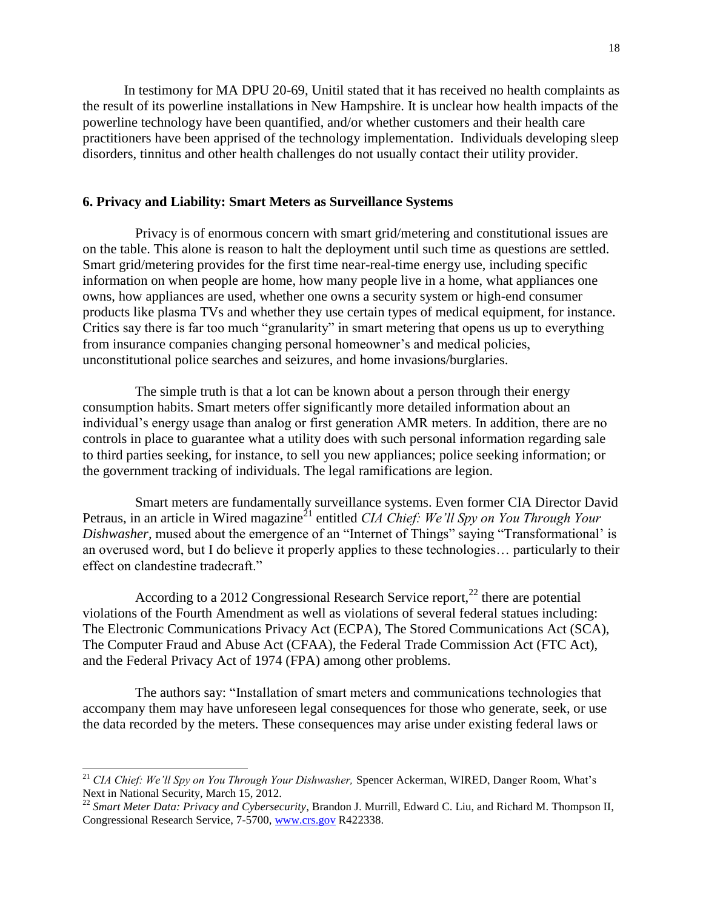In testimony for MA DPU 20-69, Unitil stated that it has received no health complaints as the result of its powerline installations in New Hampshire. It is unclear how health impacts of the powerline technology have been quantified, and/or whether customers and their health care practitioners have been apprised of the technology implementation. Individuals developing sleep disorders, tinnitus and other health challenges do not usually contact their utility provider.

### **6. Privacy and Liability: Smart Meters as Surveillance Systems**

Privacy is of enormous concern with smart grid/metering and constitutional issues are on the table. This alone is reason to halt the deployment until such time as questions are settled. Smart grid/metering provides for the first time near-real-time energy use, including specific information on when people are home, how many people live in a home, what appliances one owns, how appliances are used, whether one owns a security system or high-end consumer products like plasma TVs and whether they use certain types of medical equipment, for instance. Critics say there is far too much "granularity" in smart metering that opens us up to everything from insurance companies changing personal homeowner's and medical policies, unconstitutional police searches and seizures, and home invasions/burglaries.

The simple truth is that a lot can be known about a person through their energy consumption habits. Smart meters offer significantly more detailed information about an individual's energy usage than analog or first generation AMR meters. In addition, there are no controls in place to guarantee what a utility does with such personal information regarding sale to third parties seeking, for instance, to sell you new appliances; police seeking information; or the government tracking of individuals. The legal ramifications are legion.

Smart meters are fundamentally surveillance systems. Even former CIA Director David Petraus, in an article in Wired magazine<sup>21</sup> entitled *CIA Chief: We'll Spy on You Through Your Dishwasher,* mused about the emergence of an "Internet of Things" saying "Transformational' is an overused word, but I do believe it properly applies to these technologies… particularly to their effect on clandestine tradecraft."

According to a 2012 Congressional Research Service report,<sup>22</sup> there are potential violations of the Fourth Amendment as well as violations of several federal statues including: The Electronic Communications Privacy Act (ECPA), The Stored Communications Act (SCA), The Computer Fraud and Abuse Act (CFAA), the Federal Trade Commission Act (FTC Act), and the Federal Privacy Act of 1974 (FPA) among other problems.

The authors say: "Installation of smart meters and communications technologies that accompany them may have unforeseen legal consequences for those who generate, seek, or use the data recorded by the meters. These consequences may arise under existing federal laws or

 $\overline{\phantom{a}}$ 

<sup>&</sup>lt;sup>21</sup> CIA Chief: We'll Spy on You Through Your Dishwasher, [Spencer Ackerman,](http://www.wired.com/dangerroom/author/spencer_ackerman/) WIRED, Danger Room, What's Next in National Security, March 15, 2012.

<sup>22</sup> *Smart Meter Data: Privacy and Cybersecurity*, Brandon J. Murrill, Edward C. Liu, and Richard M. Thompson II, Congressional Research Service, 7-5700, [www.crs.gov](http://www.crs.gov/) R422338.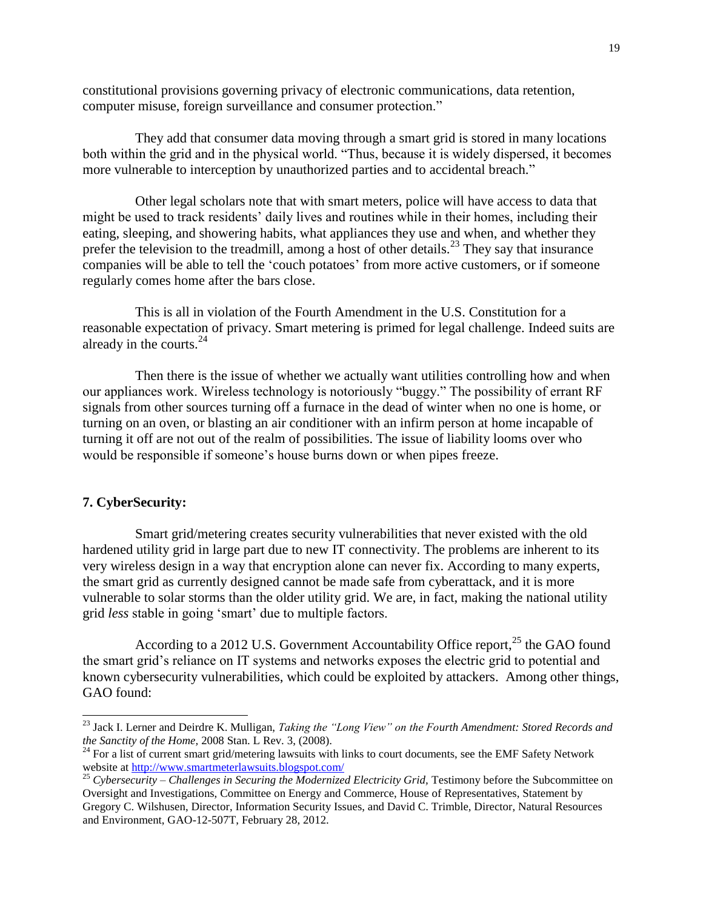constitutional provisions governing privacy of electronic communications, data retention, computer misuse, foreign surveillance and consumer protection."

They add that consumer data moving through a smart grid is stored in many locations both within the grid and in the physical world. "Thus, because it is widely dispersed, it becomes more vulnerable to interception by unauthorized parties and to accidental breach."

Other legal scholars note that with smart meters, police will have access to data that might be used to track residents' daily lives and routines while in their homes, including their eating, sleeping, and showering habits, what appliances they use and when, and whether they prefer the television to the treadmill, among a host of other details.<sup>23</sup> They say that insurance companies will be able to tell the 'couch potatoes' from more active customers, or if someone regularly comes home after the bars close.

This is all in violation of the Fourth Amendment in the U.S. Constitution for a reasonable expectation of privacy. Smart metering is primed for legal challenge. Indeed suits are already in the courts. $^{24}$ 

Then there is the issue of whether we actually want utilities controlling how and when our appliances work. Wireless technology is notoriously "buggy." The possibility of errant RF signals from other sources turning off a furnace in the dead of winter when no one is home, or turning on an oven, or blasting an air conditioner with an infirm person at home incapable of turning it off are not out of the realm of possibilities. The issue of liability looms over who would be responsible if someone's house burns down or when pipes freeze.

# **7. CyberSecurity:**

 $\overline{a}$ 

Smart grid/metering creates security vulnerabilities that never existed with the old hardened utility grid in large part due to new IT connectivity. The problems are inherent to its very wireless design in a way that encryption alone can never fix. According to many experts, the smart grid as currently designed cannot be made safe from cyberattack, and it is more vulnerable to solar storms than the older utility grid. We are, in fact, making the national utility grid *less* stable in going 'smart' due to multiple factors.

According to a 2012 U.S. Government Accountability Office report,  $^{25}$  the GAO found the smart grid's reliance on IT systems and networks exposes the electric grid to potential and known cybersecurity vulnerabilities, which could be exploited by attackers. Among other things, GAO found:

<sup>23</sup> Jack I. Lerner and Deirdre K. Mulligan, *Taking the "Long View" on the Fourth Amendment: Stored Records and the Sanctity of the Home,* 2008 Stan. L Rev. 3, (2008).

<sup>&</sup>lt;sup>24</sup> For a list of current smart grid/metering lawsuits with links to court documents, see the EMF Safety Network website at<http://www.smartmeterlawsuits.blogspot.com/>

<sup>25</sup> *Cybersecurity – Challenges in Securing the Modernized Electricity Grid,* Testimony before the Subcommittee on Oversight and Investigations, Committee on Energy and Commerce, House of Representatives, Statement by Gregory C. Wilshusen, Director, Information Security Issues, and David C. Trimble, Director, Natural Resources and Environment, GAO-12-507T, February 28, 2012.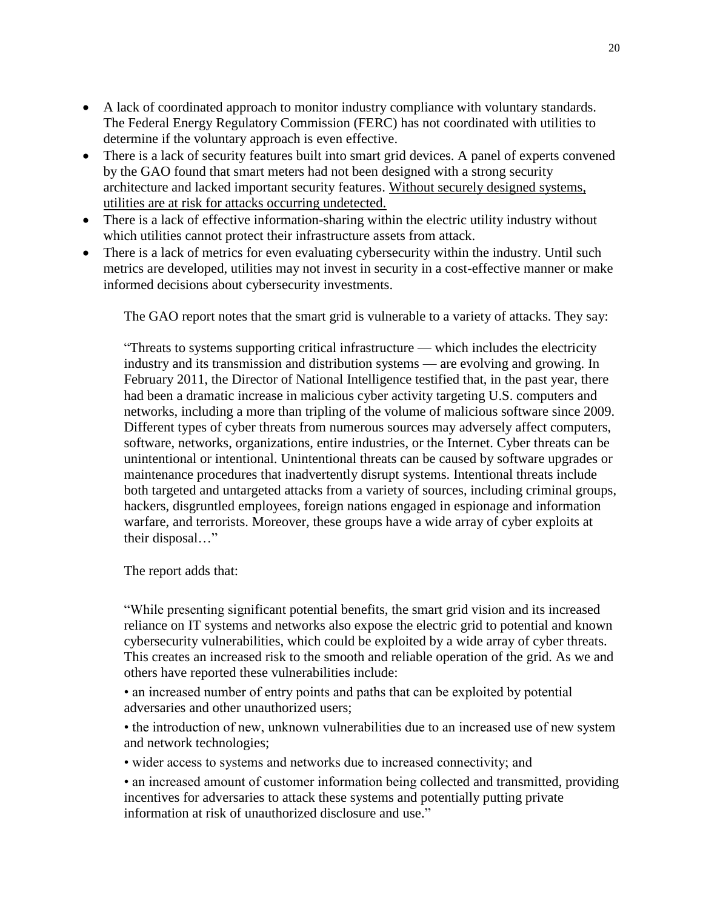- A lack of coordinated approach to monitor industry compliance with voluntary standards. The Federal Energy Regulatory Commission (FERC) has not coordinated with utilities to determine if the voluntary approach is even effective.
- There is a lack of security features built into smart grid devices. A panel of experts convened by the GAO found that smart meters had not been designed with a strong security architecture and lacked important security features. Without securely designed systems, utilities are at risk for attacks occurring undetected.
- There is a lack of effective information-sharing within the electric utility industry without which utilities cannot protect their infrastructure assets from attack.
- There is a lack of metrics for even evaluating cybersecurity within the industry. Until such metrics are developed, utilities may not invest in security in a cost-effective manner or make informed decisions about cybersecurity investments.

The GAO report notes that the smart grid is vulnerable to a variety of attacks. They say:

"Threats to systems supporting critical infrastructure — which includes the electricity industry and its transmission and distribution systems — are evolving and growing. In February 2011, the Director of National Intelligence testified that, in the past year, there had been a dramatic increase in malicious cyber activity targeting U.S. computers and networks, including a more than tripling of the volume of malicious software since 2009. Different types of cyber threats from numerous sources may adversely affect computers, software, networks, organizations, entire industries, or the Internet. Cyber threats can be unintentional or intentional. Unintentional threats can be caused by software upgrades or maintenance procedures that inadvertently disrupt systems. Intentional threats include both targeted and untargeted attacks from a variety of sources, including criminal groups, hackers, disgruntled employees, foreign nations engaged in espionage and information warfare, and terrorists. Moreover, these groups have a wide array of cyber exploits at their disposal…"

The report adds that:

"While presenting significant potential benefits, the smart grid vision and its increased reliance on IT systems and networks also expose the electric grid to potential and known cybersecurity vulnerabilities, which could be exploited by a wide array of cyber threats. This creates an increased risk to the smooth and reliable operation of the grid. As we and others have reported these vulnerabilities include:

• an increased number of entry points and paths that can be exploited by potential adversaries and other unauthorized users;

• the introduction of new, unknown vulnerabilities due to an increased use of new system and network technologies;

• wider access to systems and networks due to increased connectivity; and

• an increased amount of customer information being collected and transmitted, providing incentives for adversaries to attack these systems and potentially putting private information at risk of unauthorized disclosure and use."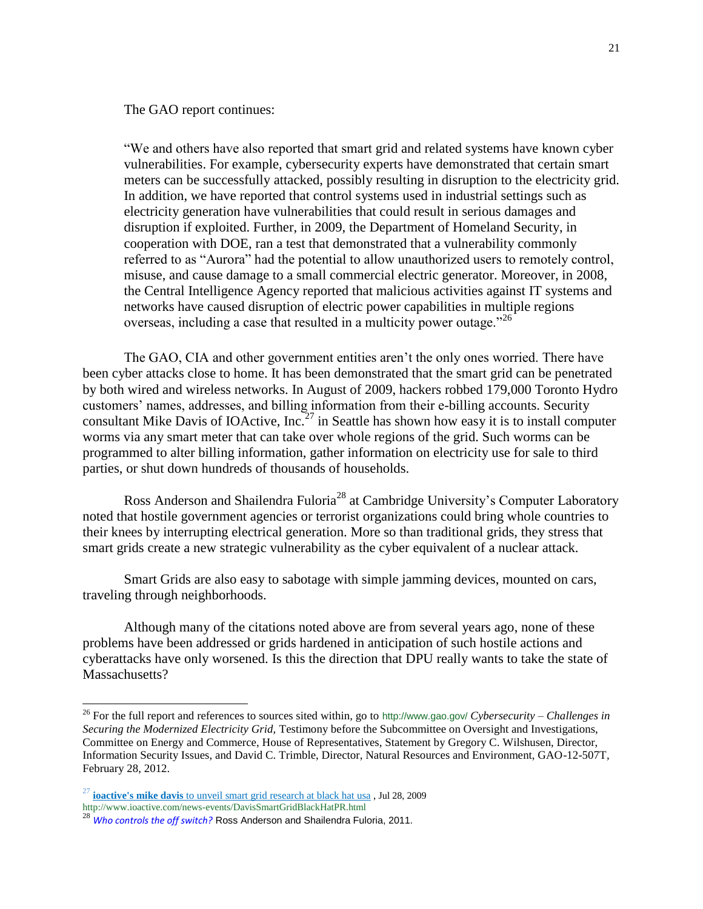The GAO report continues:

"We and others have also reported that smart grid and related systems have known cyber vulnerabilities. For example, cybersecurity experts have demonstrated that certain smart meters can be successfully attacked, possibly resulting in disruption to the electricity grid. In addition, we have reported that control systems used in industrial settings such as electricity generation have vulnerabilities that could result in serious damages and disruption if exploited. Further, in 2009, the Department of Homeland Security, in cooperation with DOE, ran a test that demonstrated that a vulnerability commonly referred to as "Aurora" had the potential to allow unauthorized users to remotely control, misuse, and cause damage to a small commercial electric generator. Moreover, in 2008, the Central Intelligence Agency reported that malicious activities against IT systems and networks have caused disruption of electric power capabilities in multiple regions overseas, including a case that resulted in a multicity power outage.<sup>226</sup>

The GAO, CIA and other government entities aren't the only ones worried. There have been cyber attacks close to home. It has been demonstrated that the smart grid can be penetrated by both wired and wireless networks. In August of 2009, hackers robbed 179,000 Toronto Hydro customers' names, addresses, and billing information from their e-billing accounts. Security consultant Mike Davis of IOActive, Inc.<sup>27</sup> in Seattle has shown how easy it is to install computer worms via any smart meter that can take over whole regions of the grid. Such worms can be programmed to alter billing information, gather information on electricity use for sale to third parties, or shut down hundreds of thousands of households.

Ross Anderson and Shailendra Fuloria<sup>28</sup> at Cambridge University's Computer Laboratory noted that hostile government agencies or terrorist organizations could bring whole countries to their knees by interrupting electrical generation. More so than traditional grids, they stress that smart grids create a new strategic vulnerability as the cyber equivalent of a nuclear attack.

Smart Grids are also easy to sabotage with simple jamming devices, mounted on cars, traveling through neighborhoods.

Although many of the citations noted above are from several years ago, none of these problems have been addressed or grids hardened in anticipation of such hostile actions and cyberattacks have only worsened. Is this the direction that DPU really wants to take the state of Massachusetts?

<sup>26</sup> For the full report and references to sources sited within, go to http://www.gao.gov/ *Cybersecurity – Challenges in Securing the Modernized Electricity Grid,* Testimony before the Subcommittee on Oversight and Investigations, Committee on Energy and Commerce, House of Representatives, Statement by Gregory C. Wilshusen, Director, Information Security Issues, and David C. Trimble, Director, Natural Resources and Environment, GAO-12-507T, February 28, 2012.

<sup>27</sup> **ioactive's mike davis** [to unveil smart grid research at black hat usa](http://websearch.cs.com/cs/boomframe.jsp?query=Mike+Davis+of+IOActive&page=1&offset=0&result_url=redir%3Fsrc%3Dwebsearch%26requestId%3Dbf9be4b4231184c5%26clickedItemRank%3D1%26userQuery%3DMike%2BDavis%2Bof%2BIOActive%26clickedItemURN%3Dhttp%253A%252F%252Fwww.ioactive.com%252Fnews-events%252FDavisSmartGridBlackHatPR.html%26invocationType%3D-%26fromPage%3DCSWebMail%26amp%3BampTest%3D1&remove_url=http%3A%2F%2Fwww.ioactive.com%2Fnews-events%2FDavisSmartGridBlackHatPR.html) , Jul 28, 2009 http://www.ioactive.com/news-events/DavisSmartGridBlackHatPR.html

<sup>28</sup> *[Who controls the off switch?](http://websearch.cs.com/cs/boomframe.jsp?query=Ross+Anderson+and+Shailendra+Fuloria+at+Cambridge+Universit&page=1&offset=0&result_url=redir%3Fsrc%3Dwebsearch%26requestId%3D6acaac9e9200bc3b%26clickedItemRank%3D2%26userQuery%3DRoss%2BAnderson%2Band%2BShailendra%2BFuloria%2Bat%2BCambridge%2BUniversit%26clickedItemURN%3Dhttp%253A%252F%252Fwww.cl.cam.ac.uk%252F%257Erja14%252FPapers%252Fmeters-offswitch.pdf%26invocationType%3D-%26fromPage%3DCSWebMail%26amp%3BampTest%3D1&remove_url=http%3A%2F%2Fwww.cl.cam.ac.uk%2F%7Erja14%2FPapers%2Fmeters-offswitch.pdf)* Ross Anderson and Shailendra Fuloria, 2011.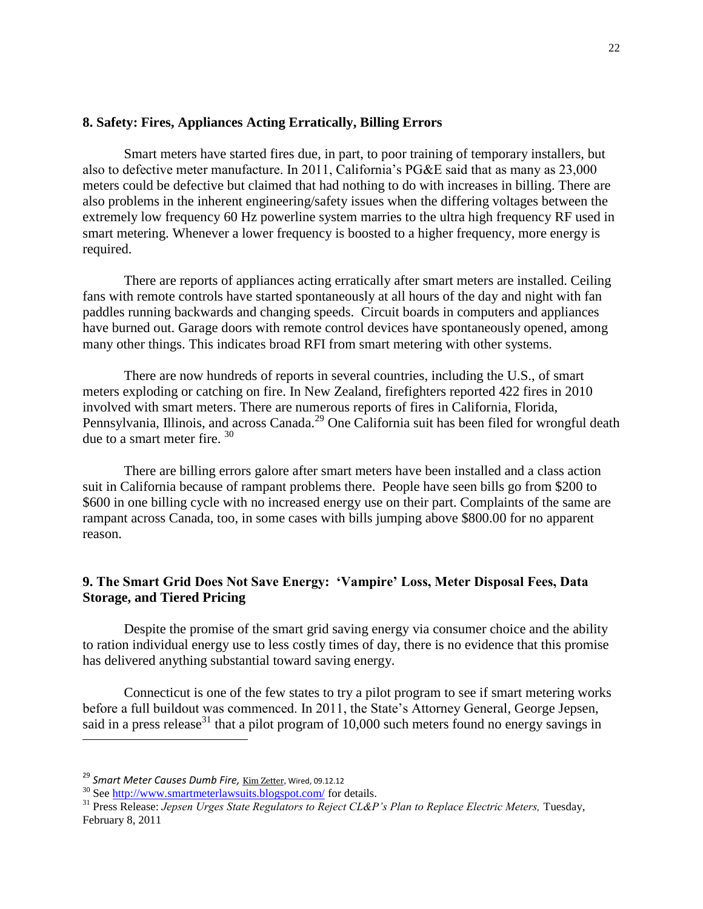### **8. Safety: Fires, Appliances Acting Erratically, Billing Errors**

Smart meters have started fires due, in part, to poor training of temporary installers, but also to defective meter manufacture. In 2011, California's PG&E said that as many as 23,000 meters could be defective but claimed that had nothing to do with increases in billing. There are also problems in the inherent engineering/safety issues when the differing voltages between the extremely low frequency 60 Hz powerline system marries to the ultra high frequency RF used in smart metering. Whenever a lower frequency is boosted to a higher frequency, more energy is required.

There are reports of appliances acting erratically after smart meters are installed. Ceiling fans with remote controls have started spontaneously at all hours of the day and night with fan paddles running backwards and changing speeds. Circuit boards in computers and appliances have burned out. Garage doors with remote control devices have spontaneously opened, among many other things. This indicates broad RFI from smart metering with other systems.

There are now hundreds of reports in several countries, including the U.S., of smart meters exploding or catching on fire. In New Zealand, firefighters reported 422 fires in 2010 involved with smart meters. There are numerous reports of fires in California, Florida, Pennsylvania, Illinois, and across Canada.<sup>29</sup> One California suit has been filed for wrongful death due to a smart meter fire.  $30<sup>30</sup>$ 

There are billing errors galore after smart meters have been installed and a class action suit in California because of rampant problems there. People have seen bills go from \$200 to \$600 in one billing cycle with no increased energy use on their part. Complaints of the same are rampant across Canada, too, in some cases with bills jumping above \$800.00 for no apparent reason.

# **9. The Smart Grid Does Not Save Energy: 'Vampire' Loss, Meter Disposal Fees, Data Storage, and Tiered Pricing**

Despite the promise of the smart grid saving energy via consumer choice and the ability to ration individual energy use to less costly times of day, there is no evidence that this promise has delivered anything substantial toward saving energy.

Connecticut is one of the few states to try a pilot program to see if smart metering works before a full buildout was commenced. In 2011, the State's Attorney General, George Jepsen, said in a press release<sup>31</sup> that a pilot program of  $10,000$  such meters found no energy savings in

 $\overline{\phantom{a}}$ 

<sup>&</sup>lt;sup>29</sup> Smart Meter Causes Dumb Fire, <u>[Kim Zetter,](http://www.wired.com/threatlevel/author/kimzetter/)</u> Wired, 09.12.12

<sup>&</sup>lt;sup>30</sup> See<http://www.smartmeterlawsuits.blogspot.com/> for details.

<sup>&</sup>lt;sup>31</sup> Press Release: *Jepsen Urges State Regulators to Reject CL&P's Plan to Replace Electric Meters*, Tuesday, February 8, 2011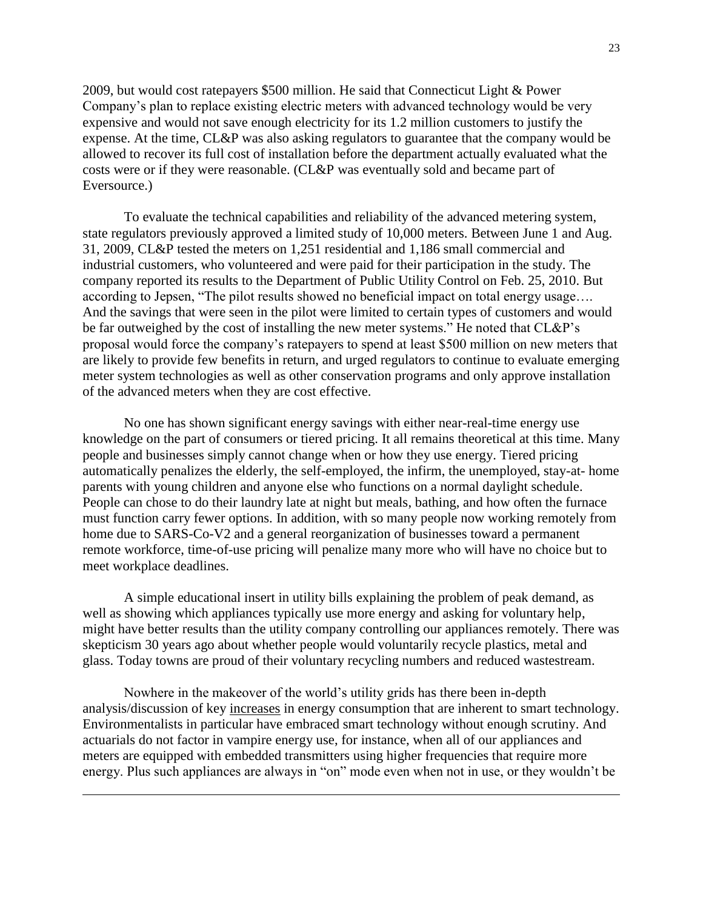2009, but would cost ratepayers \$500 million. He said that Connecticut Light & Power Company's plan to replace existing electric meters with advanced technology would be very expensive and would not save enough electricity for its 1.2 million customers to justify the expense. At the time, CL&P was also asking regulators to guarantee that the company would be allowed to recover its full cost of installation before the department actually evaluated what the costs were or if they were reasonable. (CL&P was eventually sold and became part of Eversource.)

To evaluate the technical capabilities and reliability of the advanced metering system, state regulators previously approved a limited study of 10,000 meters. Between June 1 and Aug. 31, 2009, CL&P tested the meters on 1,251 residential and 1,186 small commercial and industrial customers, who volunteered and were paid for their participation in the study. The company reported its results to the Department of Public Utility Control on Feb. 25, 2010. But according to Jepsen, "The pilot results showed no beneficial impact on total energy usage…. And the savings that were seen in the pilot were limited to certain types of customers and would be far outweighed by the cost of installing the new meter systems." He noted that CL&P's proposal would force the company's ratepayers to spend at least \$500 million on new meters that are likely to provide few benefits in return, and urged regulators to continue to evaluate emerging meter system technologies as well as other conservation programs and only approve installation of the advanced meters when they are cost effective.

No one has shown significant energy savings with either near-real-time energy use knowledge on the part of consumers or tiered pricing. It all remains theoretical at this time. Many people and businesses simply cannot change when or how they use energy. Tiered pricing automatically penalizes the elderly, the self-employed, the infirm, the unemployed, stay-at- home parents with young children and anyone else who functions on a normal daylight schedule. People can chose to do their laundry late at night but meals, bathing, and how often the furnace must function carry fewer options. In addition, with so many people now working remotely from home due to SARS-Co-V2 and a general reorganization of businesses toward a permanent remote workforce, time-of-use pricing will penalize many more who will have no choice but to meet workplace deadlines.

A simple educational insert in utility bills explaining the problem of peak demand, as well as showing which appliances typically use more energy and asking for voluntary help, might have better results than the utility company controlling our appliances remotely. There was skepticism 30 years ago about whether people would voluntarily recycle plastics, metal and glass. Today towns are proud of their voluntary recycling numbers and reduced wastestream.

Nowhere in the makeover of the world's utility grids has there been in-depth analysis/discussion of key increases in energy consumption that are inherent to smart technology. Environmentalists in particular have embraced smart technology without enough scrutiny. And actuarials do not factor in vampire energy use, for instance, when all of our appliances and meters are equipped with embedded transmitters using higher frequencies that require more energy. Plus such appliances are always in "on" mode even when not in use, or they wouldn't be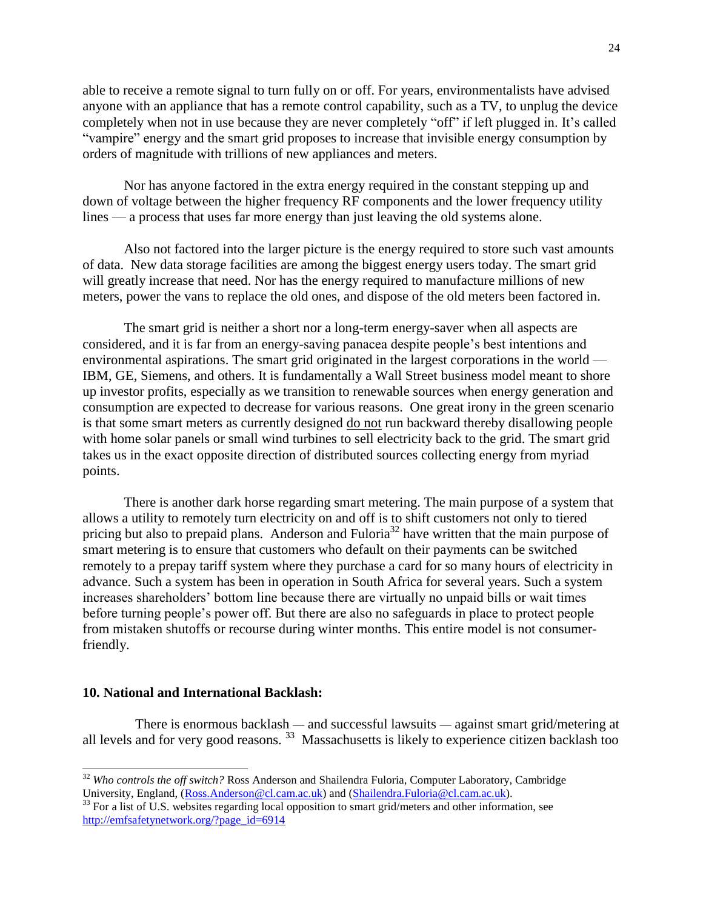able to receive a remote signal to turn fully on or off. For years, environmentalists have advised anyone with an appliance that has a remote control capability, such as a TV, to unplug the device completely when not in use because they are never completely "off" if left plugged in. It's called "vampire" energy and the smart grid proposes to increase that invisible energy consumption by orders of magnitude with trillions of new appliances and meters.

Nor has anyone factored in the extra energy required in the constant stepping up and down of voltage between the higher frequency RF components and the lower frequency utility lines — a process that uses far more energy than just leaving the old systems alone.

Also not factored into the larger picture is the energy required to store such vast amounts of data. New data storage facilities are among the biggest energy users today. The smart grid will greatly increase that need. Nor has the energy required to manufacture millions of new meters, power the vans to replace the old ones, and dispose of the old meters been factored in.

The smart grid is neither a short nor a long-term energy-saver when all aspects are considered, and it is far from an energy-saving panacea despite people's best intentions and environmental aspirations. The smart grid originated in the largest corporations in the world — IBM, GE, Siemens, and others. It is fundamentally a Wall Street business model meant to shore up investor profits, especially as we transition to renewable sources when energy generation and consumption are expected to decrease for various reasons. One great irony in the green scenario is that some smart meters as currently designed do not run backward thereby disallowing people with home solar panels or small wind turbines to sell electricity back to the grid. The smart grid takes us in the exact opposite direction of distributed sources collecting energy from myriad points.

There is another dark horse regarding smart metering. The main purpose of a system that allows a utility to remotely turn electricity on and off is to shift customers not only to tiered pricing but also to prepaid plans. Anderson and Fuloria<sup>32</sup> have written that the main purpose of smart metering is to ensure that customers who default on their payments can be switched remotely to a prepay tariff system where they purchase a card for so many hours of electricity in advance. Such a system has been in operation in South Africa for several years. Such a system increases shareholders' bottom line because there are virtually no unpaid bills or wait times before turning people's power off. But there are also no safeguards in place to protect people from mistaken shutoffs or recourse during winter months. This entire model is not consumerfriendly.

### **10. National and International Backlash:**

 $\overline{\phantom{a}}$ 

There is enormous backlash — and successful lawsuits — against smart grid/metering at all levels and for very good reasons.<sup>33</sup> Massachusetts is likely to experience citizen backlash too

<sup>32</sup> *Who controls the off switch?* Ross Anderson and Shailendra Fuloria, Computer Laboratory, Cambridge University, England, [\(Ross.Anderson@cl.cam.ac.uk\)](mailto:Ross.Anderson@cl.cam.ac.uk) and [\(Shailendra.Fuloria@cl.cam.ac.uk\)](mailto:Shailendra.Fuloria@cl.cam.ac.uk).

<sup>&</sup>lt;sup>33</sup> For a list of U.S. websites regarding local opposition to smart grid/meters and other information, see [http://emfsafetynetwork.org/?page\\_id=6914](http://emfsafetynetwork.org/?page_id=6914)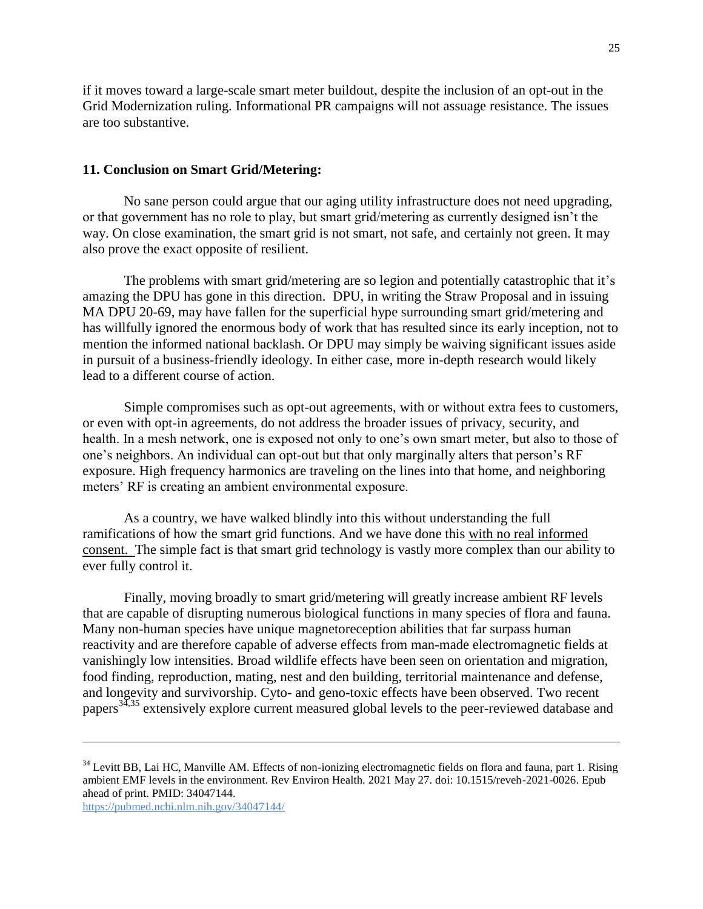if it moves toward a large-scale smart meter buildout, despite the inclusion of an opt-out in the Grid Modernization ruling. Informational PR campaigns will not assuage resistance. The issues are too substantive.

# **11. Conclusion on Smart Grid/Metering:**

No sane person could argue that our aging utility infrastructure does not need upgrading, or that government has no role to play, but smart grid/metering as currently designed isn't the way. On close examination, the smart grid is not smart, not safe, and certainly not green. It may also prove the exact opposite of resilient.

The problems with smart grid/metering are so legion and potentially catastrophic that it's amazing the DPU has gone in this direction. DPU, in writing the Straw Proposal and in issuing MA DPU 20-69, may have fallen for the superficial hype surrounding smart grid/metering and has willfully ignored the enormous body of work that has resulted since its early inception, not to mention the informed national backlash. Or DPU may simply be waiving significant issues aside in pursuit of a business-friendly ideology. In either case, more in-depth research would likely lead to a different course of action.

Simple compromises such as opt-out agreements, with or without extra fees to customers, or even with opt-in agreements, do not address the broader issues of privacy, security, and health. In a mesh network, one is exposed not only to one's own smart meter, but also to those of one's neighbors. An individual can opt-out but that only marginally alters that person's RF exposure. High frequency harmonics are traveling on the lines into that home, and neighboring meters' RF is creating an ambient environmental exposure.

As a country, we have walked blindly into this without understanding the full ramifications of how the smart grid functions. And we have done this with no real informed consent. The simple fact is that smart grid technology is vastly more complex than our ability to ever fully control it.

Finally, moving broadly to smart grid/metering will greatly increase ambient RF levels that are capable of disrupting numerous biological functions in many species of flora and fauna. Many non-human species have unique magnetoreception abilities that far surpass human reactivity and are therefore capable of adverse effects from man-made electromagnetic fields at vanishingly low intensities. Broad wildlife effects have been seen on orientation and migration, food finding, reproduction, mating, nest and den building, territorial maintenance and defense, and longevity and survivorship. Cyto- and geno-toxic effects have been observed. Two recent papers<sup>34,35</sup> extensively explore current measured global levels to the peer-reviewed database and

<sup>&</sup>lt;sup>34</sup> Levitt BB, Lai HC, Manville AM. Effects of non-ionizing electromagnetic fields on flora and fauna, part 1. Rising ambient EMF levels in the environment. Rev Environ Health. 2021 May 27. doi: 10.1515/reveh-2021-0026. Epub ahead of print. PMID: 34047144.